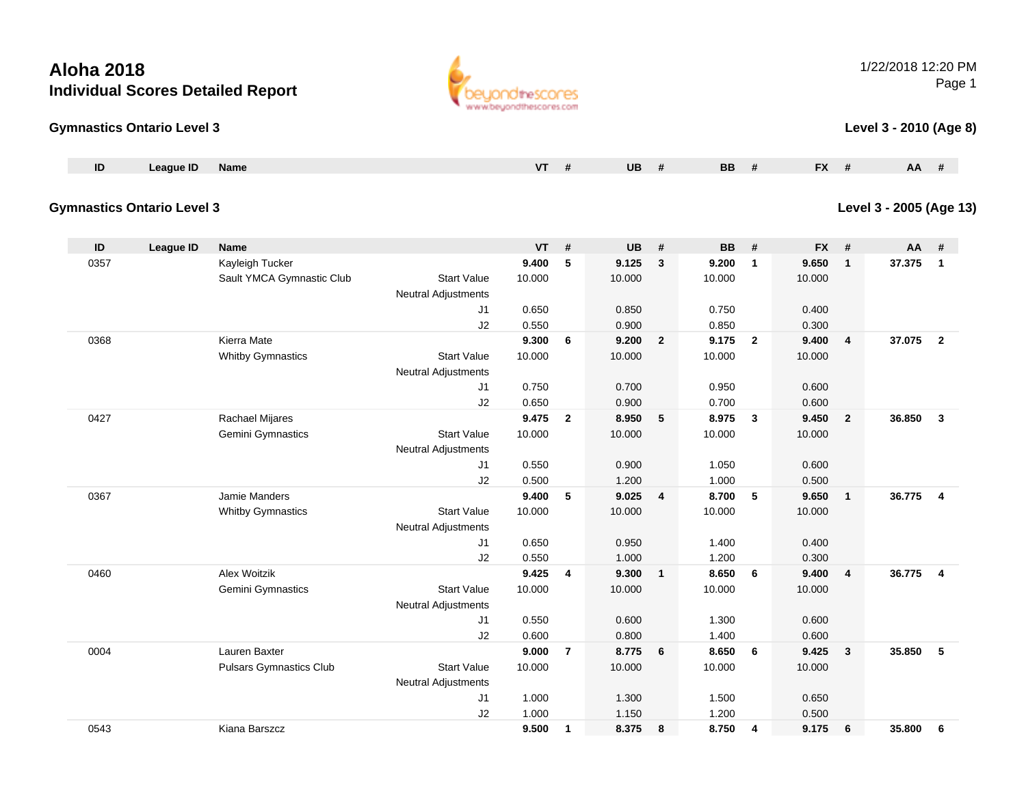#### **Gymnastics Ontario Level 3**

| ID | <b>League ID</b> | Name | 1.17 | <b>UB</b> | <b>BB</b> | $\mathbf{r}$<br>. . | AA |
|----|------------------|------|------|-----------|-----------|---------------------|----|
|    |                  |      |      |           |           |                     |    |

#### **Gymnastics Ontario Level 3**

**Level 3 - 2005 (Age 13)**

| ID   | League ID | <b>Name</b>                    |                            | <b>VT</b> | #              | <b>UB</b> | #                       | <b>BB</b> | #              | <b>FX</b> | #              | $AA$ # |                         |
|------|-----------|--------------------------------|----------------------------|-----------|----------------|-----------|-------------------------|-----------|----------------|-----------|----------------|--------|-------------------------|
| 0357 |           | Kayleigh Tucker                |                            | 9.400     | 5              | 9.125     | 3                       | 9.200     | 1              | 9.650     | $\mathbf{1}$   | 37.375 | $\overline{1}$          |
|      |           | Sault YMCA Gymnastic Club      | <b>Start Value</b>         | 10.000    |                | 10.000    |                         | 10.000    |                | 10.000    |                |        |                         |
|      |           |                                | <b>Neutral Adjustments</b> |           |                |           |                         |           |                |           |                |        |                         |
|      |           |                                | J1                         | 0.650     |                | 0.850     |                         | 0.750     |                | 0.400     |                |        |                         |
|      |           |                                | J2                         | 0.550     |                | 0.900     |                         | 0.850     |                | 0.300     |                |        |                         |
| 0368 |           | Kierra Mate                    |                            | 9.300     | 6              | 9.200     | $\mathbf{2}$            | 9.175     | $\overline{2}$ | 9.400     | 4              | 37.075 | $\overline{\mathbf{2}}$ |
|      |           | <b>Whitby Gymnastics</b>       | <b>Start Value</b>         | 10.000    |                | 10.000    |                         | 10.000    |                | 10.000    |                |        |                         |
|      |           |                                | <b>Neutral Adjustments</b> |           |                |           |                         |           |                |           |                |        |                         |
|      |           |                                | J1                         | 0.750     |                | 0.700     |                         | 0.950     |                | 0.600     |                |        |                         |
|      |           |                                | J2                         | 0.650     |                | 0.900     |                         | 0.700     |                | 0.600     |                |        |                         |
| 0427 |           | Rachael Mijares                |                            | 9.475     | $\overline{2}$ | 8.950     | 5                       | 8.975     | 3              | 9.450     | $\overline{2}$ | 36.850 | $\mathbf{3}$            |
|      |           | Gemini Gymnastics              | <b>Start Value</b>         | 10.000    |                | 10.000    |                         | 10.000    |                | 10.000    |                |        |                         |
|      |           |                                | Neutral Adjustments        |           |                |           |                         |           |                |           |                |        |                         |
|      |           |                                | J1                         | 0.550     |                | 0.900     |                         | 1.050     |                | 0.600     |                |        |                         |
|      |           |                                | J2                         | 0.500     |                | 1.200     |                         | 1.000     |                | 0.500     |                |        |                         |
| 0367 |           | Jamie Manders                  |                            | 9.400     | 5              | 9.025     | $\overline{\mathbf{4}}$ | 8.700     | 5              | 9.650     | $\mathbf{1}$   | 36.775 | $\overline{\mathbf{4}}$ |
|      |           | <b>Whitby Gymnastics</b>       | <b>Start Value</b>         | 10.000    |                | 10.000    |                         | 10.000    |                | 10.000    |                |        |                         |
|      |           |                                | <b>Neutral Adjustments</b> |           |                |           |                         |           |                |           |                |        |                         |
|      |           |                                | J1                         | 0.650     |                | 0.950     |                         | 1.400     |                | 0.400     |                |        |                         |
|      |           |                                | J2                         | 0.550     |                | 1.000     |                         | 1.200     |                | 0.300     |                |        |                         |
| 0460 |           | <b>Alex Woitzik</b>            |                            | 9.425     | 4              | 9.300     | $\mathbf{1}$            | 8.650     | 6              | 9.400     | 4              | 36.775 | $\overline{\mathbf{4}}$ |
|      |           | <b>Gemini Gymnastics</b>       | <b>Start Value</b>         | 10.000    |                | 10.000    |                         | 10.000    |                | 10.000    |                |        |                         |
|      |           |                                | <b>Neutral Adjustments</b> |           |                |           |                         |           |                |           |                |        |                         |
|      |           |                                | J1                         | 0.550     |                | 0.600     |                         | 1.300     |                | 0.600     |                |        |                         |
|      |           |                                | J2                         | 0.600     |                | 0.800     |                         | 1.400     |                | 0.600     |                |        |                         |
| 0004 |           | Lauren Baxter                  |                            | 9.000     | $\overline{7}$ | 8.775     | 6                       | 8.650     | 6              | 9.425     | $\mathbf{3}$   | 35.850 | $-5$                    |
|      |           | <b>Pulsars Gymnastics Club</b> | <b>Start Value</b>         | 10.000    |                | 10.000    |                         | 10.000    |                | 10.000    |                |        |                         |
|      |           |                                | <b>Neutral Adjustments</b> |           |                |           |                         |           |                |           |                |        |                         |
|      |           |                                | J1                         | 1.000     |                | 1.300     |                         | 1.500     |                | 0.650     |                |        |                         |
|      |           |                                | J2                         | 1.000     |                | 1.150     |                         | 1.200     |                | 0.500     |                |        |                         |
| 0543 |           | Kiana Barszcz                  |                            | 9.500     | $\mathbf{1}$   | 8.375     | 8                       | 8.750     | 4              | 9.175     | 6              | 35.800 | 6                       |



#### 1/22/2018 12:20 PMPage 1

**Level 3 - 2010 (Age 8)**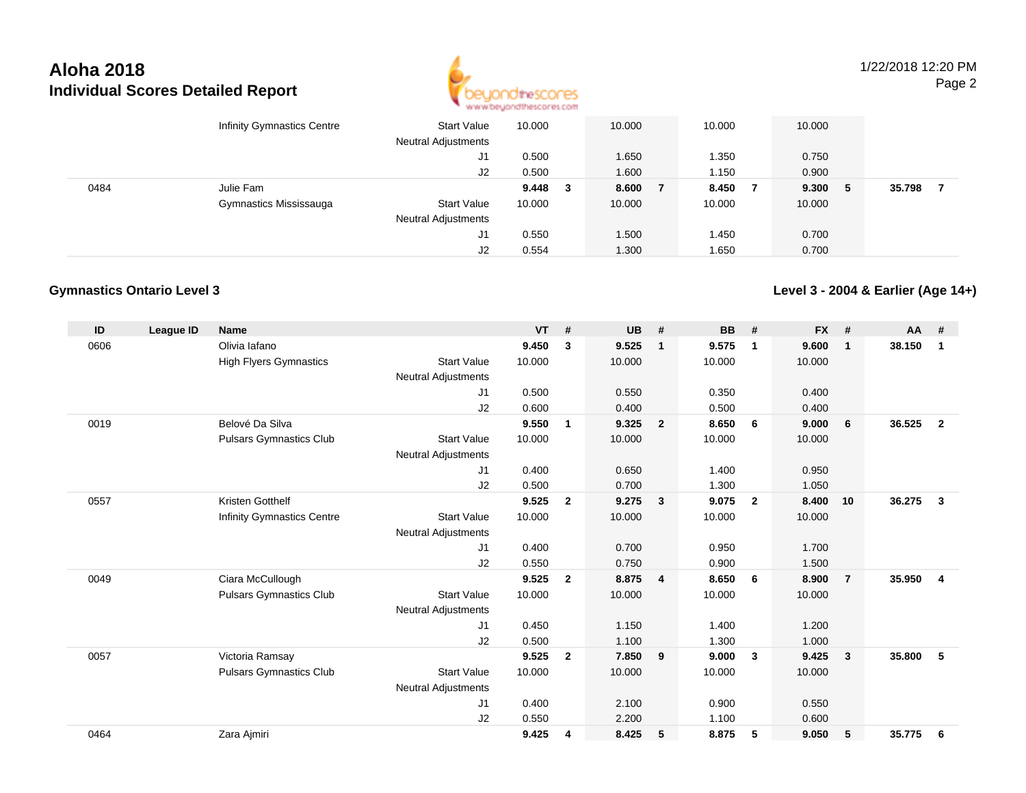

1/22/2018 12:20 PMPage 2

|      | <b>Infinity Gymnastics Centre</b> | <b>Start Value</b><br><b>Neutral Adjustments</b> | 10.000    | 10.000 | 10.000 | 10.000 |     |        |
|------|-----------------------------------|--------------------------------------------------|-----------|--------|--------|--------|-----|--------|
|      |                                   | J1                                               | 0.500     | 1.650  | 350ء ا | 0.750  |     |        |
|      |                                   | J2                                               | 0.500     | 1.600  | 1.150  | 0.900  |     |        |
| 0484 | Julie Fam                         |                                                  | $9.448$ 3 | 8.600  | 8.450  | 9.300  | - 5 | 35.798 |
|      | Gymnastics Mississauga            | <b>Start Value</b>                               | 10.000    | 10.000 | 10.000 | 10.000 |     |        |
|      |                                   | <b>Neutral Adjustments</b>                       |           |        |        |        |     |        |
|      |                                   | J1                                               | 0.550     | 1.500  | .450 ، | 0.700  |     |        |
|      |                                   | J2                                               | 0.554     | 1.300  | 1.650  | 0.700  |     |        |

#### **Gymnastics Ontario Level 3**

**Level 3 - 2004 & Earlier (Age 14+)**

| ID   | League ID | <b>Name</b>                       |                            | <b>VT</b> | #              | <b>UB</b> | #                       | <b>BB</b> | #              | <b>FX</b> | #              | <b>AA</b> | #              |
|------|-----------|-----------------------------------|----------------------------|-----------|----------------|-----------|-------------------------|-----------|----------------|-----------|----------------|-----------|----------------|
| 0606 |           | Olivia lafano                     |                            | 9.450     | 3              | 9.525     | $\overline{1}$          | 9.575     | $\mathbf{1}$   | 9.600     | $\mathbf{1}$   | 38.150    | $\mathbf{1}$   |
|      |           | <b>High Flyers Gymnastics</b>     | <b>Start Value</b>         | 10.000    |                | 10.000    |                         | 10.000    |                | 10.000    |                |           |                |
|      |           |                                   | <b>Neutral Adjustments</b> |           |                |           |                         |           |                |           |                |           |                |
|      |           |                                   | J1                         | 0.500     |                | 0.550     |                         | 0.350     |                | 0.400     |                |           |                |
|      |           |                                   | J2                         | 0.600     |                | 0.400     |                         | 0.500     |                | 0.400     |                |           |                |
| 0019 |           | Belové Da Silva                   |                            | 9.550     | 1              | 9.325     | $\overline{2}$          | 8.650     | 6              | 9.000     | 6              | 36.525    | $\mathbf{2}$   |
|      |           | <b>Pulsars Gymnastics Club</b>    | <b>Start Value</b>         | 10.000    |                | 10.000    |                         | 10.000    |                | 10.000    |                |           |                |
|      |           |                                   | <b>Neutral Adjustments</b> |           |                |           |                         |           |                |           |                |           |                |
|      |           |                                   | J1                         | 0.400     |                | 0.650     |                         | 1.400     |                | 0.950     |                |           |                |
|      |           |                                   | J2                         | 0.500     |                | 0.700     |                         | 1.300     |                | 1.050     |                |           |                |
| 0557 |           | Kristen Gotthelf                  |                            | 9.525     | $\overline{2}$ | 9.275     | $\overline{\mathbf{3}}$ | 9.075     | $\overline{2}$ | 8.400     | 10             | 36.275    | 3              |
|      |           | <b>Infinity Gymnastics Centre</b> | <b>Start Value</b>         | 10.000    |                | 10.000    |                         | 10.000    |                | 10.000    |                |           |                |
|      |           |                                   | Neutral Adjustments        |           |                |           |                         |           |                |           |                |           |                |
|      |           |                                   | J1                         | 0.400     |                | 0.700     |                         | 0.950     |                | 1.700     |                |           |                |
|      |           |                                   | J2                         | 0.550     |                | 0.750     |                         | 0.900     |                | 1.500     |                |           |                |
| 0049 |           | Ciara McCullough                  |                            | 9.525     | $\overline{2}$ | 8.875     | $\overline{4}$          | 8.650     | - 6            | 8.900     | $\overline{7}$ | 35.950    | $\overline{4}$ |
|      |           | <b>Pulsars Gymnastics Club</b>    | <b>Start Value</b>         | 10.000    |                | 10.000    |                         | 10.000    |                | 10.000    |                |           |                |
|      |           |                                   | <b>Neutral Adjustments</b> |           |                |           |                         |           |                |           |                |           |                |
|      |           |                                   | J1                         | 0.450     |                | 1.150     |                         | 1.400     |                | 1.200     |                |           |                |
|      |           |                                   | J2                         | 0.500     |                | 1.100     |                         | 1.300     |                | 1.000     |                |           |                |
| 0057 |           | Victoria Ramsay                   |                            | 9.525     | $\overline{2}$ | 7.850     | 9                       | 9.000     | -3             | 9.425     | 3              | 35.800    | 5              |
|      |           | <b>Pulsars Gymnastics Club</b>    | <b>Start Value</b>         | 10.000    |                | 10.000    |                         | 10.000    |                | 10.000    |                |           |                |
|      |           |                                   | <b>Neutral Adjustments</b> |           |                |           |                         |           |                |           |                |           |                |
|      |           |                                   | J1                         | 0.400     |                | 2.100     |                         | 0.900     |                | 0.550     |                |           |                |
|      |           |                                   | J2                         | 0.550     |                | 2.200     |                         | 1.100     |                | 0.600     |                |           |                |
| 0464 |           | Zara Ajmiri                       |                            | 9.425     | 4              | 8.425     | 5                       | 8.875     | 5              | 9.050     | 5              | 35.775    | 6              |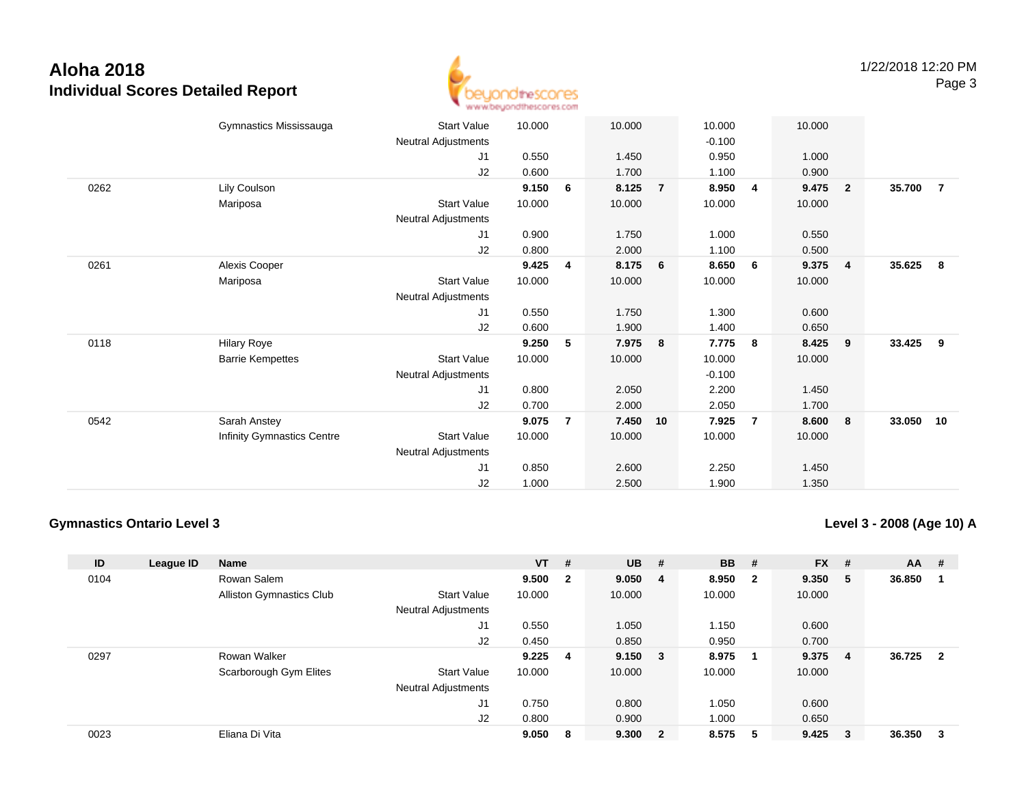

|      | Gymnastics Mississauga            | <b>Start Value</b>         | 10.000 |                | 10.000 |                | 10.000   |                | 10.000 |                         |        |                |
|------|-----------------------------------|----------------------------|--------|----------------|--------|----------------|----------|----------------|--------|-------------------------|--------|----------------|
|      |                                   | Neutral Adjustments        |        |                |        |                | $-0.100$ |                |        |                         |        |                |
|      |                                   | J1                         | 0.550  |                | 1.450  |                | 0.950    |                | 1.000  |                         |        |                |
|      |                                   | J2                         | 0.600  |                | 1.700  |                | 1.100    |                | 0.900  |                         |        |                |
| 0262 | Lily Coulson                      |                            | 9.150  | 6              | 8.125  | $\overline{7}$ | 8.950    | $\overline{4}$ | 9.475  | $\overline{\mathbf{2}}$ | 35.700 | $\overline{7}$ |
|      | Mariposa                          | <b>Start Value</b>         | 10.000 |                | 10.000 |                | 10.000   |                | 10.000 |                         |        |                |
|      |                                   | Neutral Adjustments        |        |                |        |                |          |                |        |                         |        |                |
|      |                                   | J1                         | 0.900  |                | 1.750  |                | 1.000    |                | 0.550  |                         |        |                |
|      |                                   | J2                         | 0.800  |                | 2.000  |                | 1.100    |                | 0.500  |                         |        |                |
| 0261 | Alexis Cooper                     |                            | 9.425  | 4              | 8.175  | 6              | 8.650    | 6              | 9.375  | $\overline{4}$          | 35.625 | - 8            |
|      | Mariposa                          | <b>Start Value</b>         | 10.000 |                | 10.000 |                | 10.000   |                | 10.000 |                         |        |                |
|      |                                   | Neutral Adjustments        |        |                |        |                |          |                |        |                         |        |                |
|      |                                   | J1                         | 0.550  |                | 1.750  |                | 1.300    |                | 0.600  |                         |        |                |
|      |                                   | J2                         | 0.600  |                | 1.900  |                | 1.400    |                | 0.650  |                         |        |                |
| 0118 | <b>Hilary Roye</b>                |                            | 9.250  | 5              | 7.975  | 8              | 7.775    | 8              | 8.425  | 9                       | 33.425 | 9              |
|      | <b>Barrie Kempettes</b>           | <b>Start Value</b>         | 10.000 |                | 10.000 |                | 10.000   |                | 10.000 |                         |        |                |
|      |                                   | Neutral Adjustments        |        |                |        |                | $-0.100$ |                |        |                         |        |                |
|      |                                   | J1                         | 0.800  |                | 2.050  |                | 2.200    |                | 1.450  |                         |        |                |
|      |                                   | J2                         | 0.700  |                | 2.000  |                | 2.050    |                | 1.700  |                         |        |                |
| 0542 | Sarah Anstey                      |                            | 9.075  | $\overline{7}$ | 7.450  | 10             | 7.925    | $\overline{7}$ | 8.600  | 8                       | 33.050 | 10             |
|      | <b>Infinity Gymnastics Centre</b> | <b>Start Value</b>         | 10.000 |                | 10.000 |                | 10.000   |                | 10.000 |                         |        |                |
|      |                                   | <b>Neutral Adjustments</b> |        |                |        |                |          |                |        |                         |        |                |
|      |                                   | J1                         | 0.850  |                | 2.600  |                | 2.250    |                | 1.450  |                         |        |                |
|      |                                   | J2                         | 1.000  |                | 2.500  |                | 1.900    |                | 1.350  |                         |        |                |

#### **Gymnastics Ontario Level 3**

**Level 3 - 2008 (Age 10) A**

| ID   | League ID | Name                            |                            | $VT$ # |              | <b>UB</b> | - #                     | <b>BB</b> | #                       | <b>FX</b> | #              | <b>AA</b> | #            |
|------|-----------|---------------------------------|----------------------------|--------|--------------|-----------|-------------------------|-----------|-------------------------|-----------|----------------|-----------|--------------|
| 0104 |           | Rowan Salem                     |                            | 9.500  | $\mathbf{2}$ | 9.050     | - 4                     | 8.950     | $\overline{\mathbf{2}}$ | 9.350     | 5              | 36.850    |              |
|      |           | <b>Alliston Gymnastics Club</b> | <b>Start Value</b>         | 10.000 |              | 10.000    |                         | 10.000    |                         | 10.000    |                |           |              |
|      |           |                                 | <b>Neutral Adjustments</b> |        |              |           |                         |           |                         |           |                |           |              |
|      |           |                                 | J1                         | 0.550  |              | 1.050     |                         | 1.150     |                         | 0.600     |                |           |              |
|      |           |                                 | J2                         | 0.450  |              | 0.850     |                         | 0.950     |                         | 0.700     |                |           |              |
| 0297 |           | Rowan Walker                    |                            | 9.225  | - 4          | 9.150     | $_{3}$                  | 8.975     |                         | 9.375     | $\overline{4}$ | 36.725    | $\mathbf{2}$ |
|      |           | Scarborough Gym Elites          | <b>Start Value</b>         | 10.000 |              | 10.000    |                         | 10.000    |                         | 10.000    |                |           |              |
|      |           |                                 | <b>Neutral Adjustments</b> |        |              |           |                         |           |                         |           |                |           |              |
|      |           |                                 | J1                         | 0.750  |              | 0.800     |                         | 1.050     |                         | 0.600     |                |           |              |
|      |           |                                 | J <sub>2</sub>             | 0.800  |              | 0.900     |                         | 1.000     |                         | 0.650     |                |           |              |
| 0023 |           | Eliana Di Vita                  |                            | 9.050  | 8            | 9.300     | $\overline{\mathbf{2}}$ | 8.575     | -5                      | 9.425     | 3              | 36.350    | 3            |
|      |           |                                 |                            |        |              |           |                         |           |                         |           |                |           |              |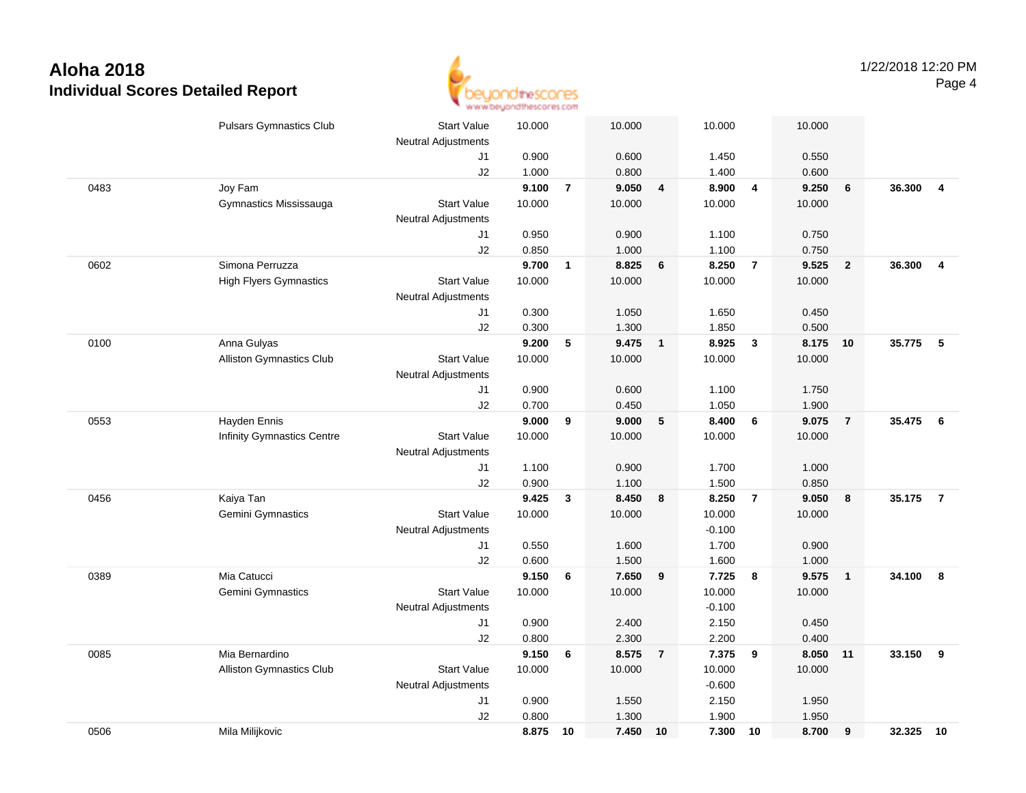

|      | <b>Pulsars Gymnastics Club</b>  | <b>Start Value</b>               | 10.000 |                | 10.000 |                         | 10.000            |                  | 10.000 |                         |        |                |
|------|---------------------------------|----------------------------------|--------|----------------|--------|-------------------------|-------------------|------------------|--------|-------------------------|--------|----------------|
|      |                                 | <b>Neutral Adjustments</b><br>J1 | 0.900  |                | 0.600  |                         | 1.450             |                  | 0.550  |                         |        |                |
|      |                                 | J2                               | 1.000  |                | 0.800  |                         | 1.400             |                  | 0.600  |                         |        |                |
| 0483 | Joy Fam                         |                                  | 9.100  | $\overline{7}$ | 9.050  | $\overline{\mathbf{4}}$ | 8.900             | $\overline{4}$   | 9.250  | $6\phantom{1}6$         | 36.300 | $\overline{4}$ |
|      | Gymnastics Mississauga          | <b>Start Value</b>               | 10.000 |                | 10.000 |                         | 10.000            |                  | 10.000 |                         |        |                |
|      |                                 | <b>Neutral Adjustments</b>       |        |                |        |                         |                   |                  |        |                         |        |                |
|      |                                 | J1                               | 0.950  |                | 0.900  |                         | 1.100             |                  | 0.750  |                         |        |                |
|      |                                 | J2                               | 0.850  |                | 1.000  |                         | 1.100             |                  | 0.750  |                         |        |                |
| 0602 | Simona Perruzza                 |                                  | 9.700  | $\mathbf{1}$   | 8.825  | 6                       | 8.250             | $\overline{7}$   | 9.525  | $\overline{\mathbf{2}}$ | 36.300 | $\overline{4}$ |
|      | <b>High Flyers Gymnastics</b>   | <b>Start Value</b>               | 10.000 |                | 10.000 |                         | 10.000            |                  | 10.000 |                         |        |                |
|      |                                 | Neutral Adjustments              |        |                |        |                         |                   |                  |        |                         |        |                |
|      |                                 | J1                               | 0.300  |                | 1.050  |                         | 1.650             |                  | 0.450  |                         |        |                |
|      |                                 | J2                               | 0.300  |                | 1.300  |                         | 1.850             |                  | 0.500  |                         |        |                |
| 0100 | Anna Gulyas                     |                                  | 9.200  | 5              | 9.475  | $\mathbf{1}$            | 8.925             | $\mathbf{3}$     | 8.175  | 10                      | 35.775 | 5              |
|      | Alliston Gymnastics Club        | <b>Start Value</b>               | 10.000 |                | 10.000 |                         | 10.000            |                  | 10.000 |                         |        |                |
|      |                                 | <b>Neutral Adjustments</b>       |        |                |        |                         |                   |                  |        |                         |        |                |
|      |                                 | J1                               | 0.900  |                | 0.600  |                         | 1.100             |                  | 1.750  |                         |        |                |
|      |                                 | J2                               | 0.700  |                | 0.450  |                         | 1.050             |                  | 1.900  |                         |        |                |
| 0553 | Hayden Ennis                    |                                  | 9.000  | 9              | 9.000  | 5                       | 8.400             | $6\phantom{.}6$  | 9.075  | $\overline{7}$          | 35.475 | - 6            |
|      | Infinity Gymnastics Centre      | <b>Start Value</b>               | 10.000 |                | 10.000 |                         | 10.000            |                  | 10.000 |                         |        |                |
|      |                                 | <b>Neutral Adjustments</b>       |        |                |        |                         |                   |                  |        |                         |        |                |
|      |                                 | J1                               | 1.100  |                | 0.900  |                         | 1.700             |                  | 1.000  |                         |        |                |
|      |                                 | J2                               | 0.900  |                | 1.100  |                         | 1.500             |                  | 0.850  |                         |        |                |
| 0456 | Kaiya Tan                       |                                  | 9.425  | $\mathbf{3}$   | 8.450  | 8                       | 8.250             | $\overline{7}$   | 9.050  | 8                       | 35.175 | $\overline{7}$ |
|      | Gemini Gymnastics               | <b>Start Value</b>               | 10.000 |                | 10.000 |                         | 10.000            |                  | 10.000 |                         |        |                |
|      |                                 | <b>Neutral Adjustments</b>       |        |                |        |                         | $-0.100$          |                  |        |                         |        |                |
|      |                                 | J1                               | 0.550  |                | 1.600  |                         | 1.700             |                  | 0.900  |                         |        |                |
|      |                                 | J2                               | 0.600  |                | 1.500  |                         | 1.600             |                  | 1.000  |                         |        |                |
| 0389 | Mia Catucci                     |                                  | 9.150  | 6              | 7.650  | 9                       | 7.725             | $\boldsymbol{8}$ | 9.575  | $\overline{1}$          | 34.100 | - 8            |
|      | Gemini Gymnastics               | <b>Start Value</b>               | 10.000 |                | 10.000 |                         | 10.000            |                  | 10.000 |                         |        |                |
|      |                                 | <b>Neutral Adjustments</b>       | 0.900  |                | 2.400  |                         | $-0.100$<br>2.150 |                  | 0.450  |                         |        |                |
|      |                                 | J1<br>J2                         | 0.800  |                | 2.300  |                         | 2.200             |                  | 0.400  |                         |        |                |
| 0085 | Mia Bernardino                  |                                  | 9.150  | 6              | 8.575  | $\overline{7}$          | 7.375             | 9                | 8.050  | 11                      | 33.150 | 9              |
|      | <b>Alliston Gymnastics Club</b> | <b>Start Value</b>               | 10.000 |                | 10.000 |                         | 10.000            |                  | 10.000 |                         |        |                |
|      |                                 | <b>Neutral Adjustments</b>       |        |                |        |                         | $-0.600$          |                  |        |                         |        |                |
|      |                                 | J1                               | 0.900  |                | 1.550  |                         | 2.150             |                  | 1.950  |                         |        |                |
|      |                                 | J2                               | 0.800  |                | 1.300  |                         | 1.900             |                  | 1.950  |                         |        |                |
| 0506 | Mila Milijkovic                 |                                  | 8.875  | 10             | 7.450  | 10                      | 7.300             | 10               | 8.700  | 9                       | 32.325 | 10             |
|      |                                 |                                  |        |                |        |                         |                   |                  |        |                         |        |                |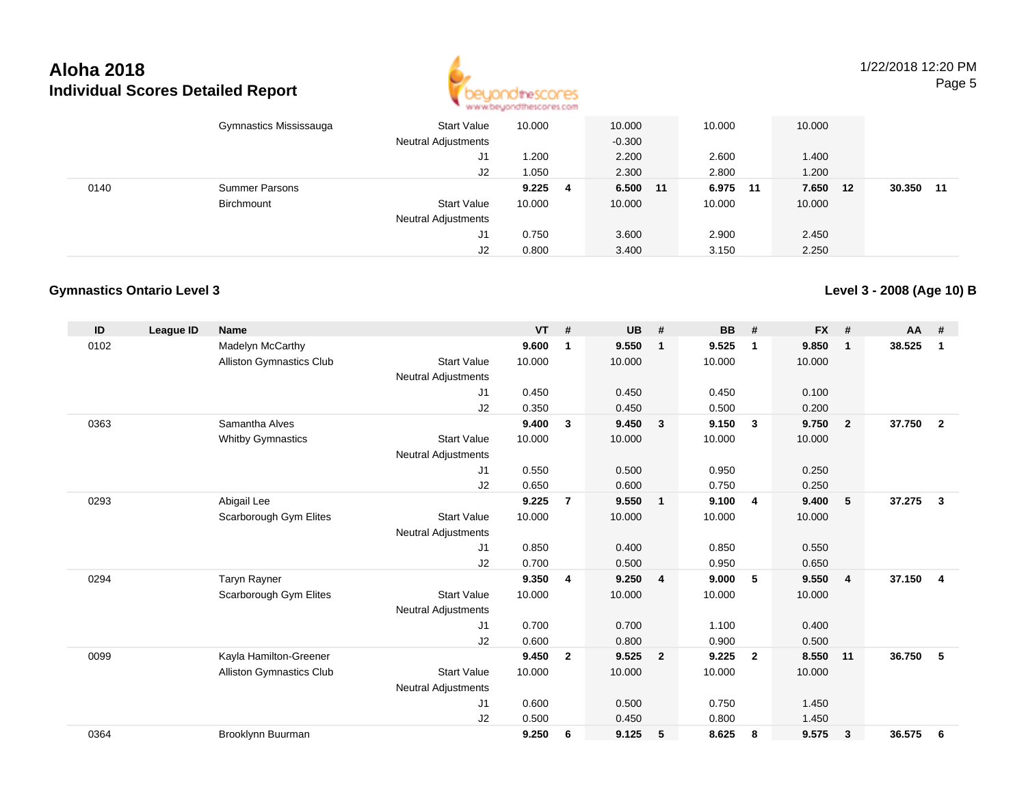

1/22/2018 12:20 PMPage 5

|      | Gymnastics Mississauga | <b>Start Value</b><br><b>Neutral Adjustments</b><br>J1<br>J2 | 10.000<br>1.200<br>1.050 | 10.000<br>$-0.300$<br>2.200<br>2.300 | 10.000<br>2.600<br>2.800 | 10.000<br>1.400<br>1.200 |    |              |
|------|------------------------|--------------------------------------------------------------|--------------------------|--------------------------------------|--------------------------|--------------------------|----|--------------|
| 0140 | <b>Summer Parsons</b>  |                                                              | 9.225                    | 6.500 11<br>4                        | 6.975                    | 7.650<br>- 11            | 12 | 30.350<br>11 |
|      | Birchmount             | <b>Start Value</b>                                           | 10.000                   | 10.000                               | 10.000                   | 10.000                   |    |              |
|      |                        | <b>Neutral Adjustments</b>                                   |                          |                                      |                          |                          |    |              |
|      |                        | J1                                                           | 0.750                    | 3.600                                | 2.900                    | 2.450                    |    |              |
|      |                        | J2                                                           | 0.800                    | 3.400                                | 3.150                    | 2.250                    |    |              |

#### **Gymnastics Ontario Level 3**

**Level 3 - 2008 (Age 10) B**

| ID   | League ID | <b>Name</b>                     |                            | <b>VT</b> | #              | <b>UB</b> | #                       | <b>BB</b> | #              | <b>FX</b> | #              | <b>AA</b> | #              |
|------|-----------|---------------------------------|----------------------------|-----------|----------------|-----------|-------------------------|-----------|----------------|-----------|----------------|-----------|----------------|
| 0102 |           | Madelyn McCarthy                |                            | 9.600     | $\mathbf{1}$   | 9.550     | $\mathbf{1}$            | 9.525     | $\mathbf{1}$   | 9.850     | $\mathbf{1}$   | 38.525    | $\mathbf{1}$   |
|      |           | Alliston Gymnastics Club        | <b>Start Value</b>         | 10.000    |                | 10.000    |                         | 10.000    |                | 10.000    |                |           |                |
|      |           |                                 | <b>Neutral Adjustments</b> |           |                |           |                         |           |                |           |                |           |                |
|      |           |                                 | J1                         | 0.450     |                | 0.450     |                         | 0.450     |                | 0.100     |                |           |                |
|      |           |                                 | J2                         | 0.350     |                | 0.450     |                         | 0.500     |                | 0.200     |                |           |                |
| 0363 |           | Samantha Alves                  |                            | 9.400     | 3              | 9.450     | $\overline{\mathbf{3}}$ | 9.150     | 3              | 9.750     | $\mathbf{2}$   | 37.750    | $\overline{2}$ |
|      |           | <b>Whitby Gymnastics</b>        | <b>Start Value</b>         | 10.000    |                | 10.000    |                         | 10.000    |                | 10.000    |                |           |                |
|      |           |                                 | Neutral Adjustments        |           |                |           |                         |           |                |           |                |           |                |
|      |           |                                 | J1                         | 0.550     |                | 0.500     |                         | 0.950     |                | 0.250     |                |           |                |
|      |           |                                 | J2                         | 0.650     |                | 0.600     |                         | 0.750     |                | 0.250     |                |           |                |
| 0293 |           | Abigail Lee                     |                            | 9.225     | $\overline{7}$ | 9.550     | $\overline{1}$          | 9.100     | $\overline{4}$ | 9.400     | 5              | 37.275    | $\mathbf{3}$   |
|      |           | Scarborough Gym Elites          | <b>Start Value</b>         | 10.000    |                | 10.000    |                         | 10.000    |                | 10.000    |                |           |                |
|      |           |                                 | <b>Neutral Adjustments</b> |           |                |           |                         |           |                |           |                |           |                |
|      |           |                                 | J1                         | 0.850     |                | 0.400     |                         | 0.850     |                | 0.550     |                |           |                |
|      |           |                                 | J2                         | 0.700     |                | 0.500     |                         | 0.950     |                | 0.650     |                |           |                |
| 0294 |           | Taryn Rayner                    |                            | 9.350     | 4              | 9.250     | $\overline{4}$          | 9.000     | -5             | 9.550     | $\overline{4}$ | 37.150    | $\overline{4}$ |
|      |           | Scarborough Gym Elites          | <b>Start Value</b>         | 10.000    |                | 10.000    |                         | 10.000    |                | 10.000    |                |           |                |
|      |           |                                 | Neutral Adjustments        |           |                |           |                         |           |                |           |                |           |                |
|      |           |                                 | J1                         | 0.700     |                | 0.700     |                         | 1.100     |                | 0.400     |                |           |                |
|      |           |                                 | J2                         | 0.600     |                | 0.800     |                         | 0.900     |                | 0.500     |                |           |                |
| 0099 |           | Kayla Hamilton-Greener          |                            | 9.450     | $\mathbf{2}$   | 9.525     | $\overline{\mathbf{2}}$ | 9.225     | $\overline{2}$ | 8.550     | 11             | 36.750    | 5              |
|      |           | <b>Alliston Gymnastics Club</b> | <b>Start Value</b>         | 10.000    |                | 10.000    |                         | 10.000    |                | 10.000    |                |           |                |
|      |           |                                 | <b>Neutral Adjustments</b> |           |                |           |                         |           |                |           |                |           |                |
|      |           |                                 | J1                         | 0.600     |                | 0.500     |                         | 0.750     |                | 1.450     |                |           |                |
|      |           |                                 | J2                         | 0.500     |                | 0.450     |                         | 0.800     |                | 1.450     |                |           |                |
| 0364 |           | Brooklynn Buurman               |                            | 9.250     | 6              | 9.125     | -5                      | 8.625     | 8              | 9.575     | 3              | 36.575    | 6              |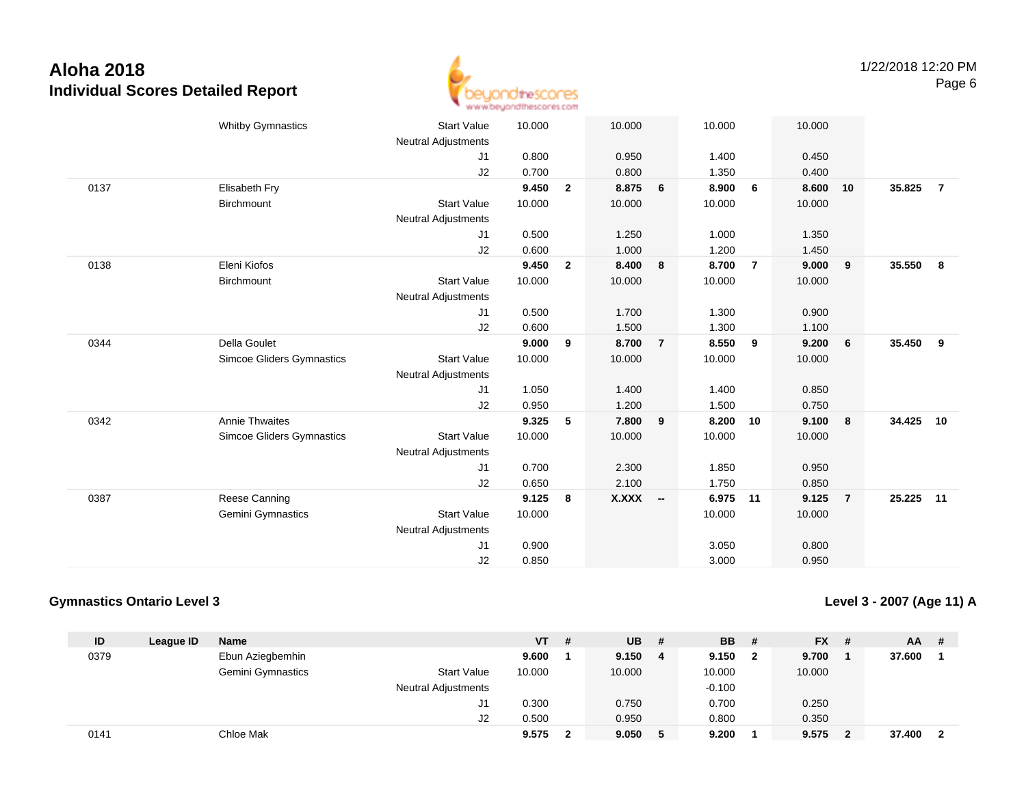

|      | <b>Whitby Gymnastics</b>         | <b>Start Value</b>         | 10.000 |                | 10.000   |                | 10.000 |                | 10.000 |                         |           |                         |
|------|----------------------------------|----------------------------|--------|----------------|----------|----------------|--------|----------------|--------|-------------------------|-----------|-------------------------|
|      |                                  | <b>Neutral Adjustments</b> |        |                |          |                |        |                |        |                         |           |                         |
|      |                                  | J1                         | 0.800  |                | 0.950    |                | 1.400  |                | 0.450  |                         |           |                         |
|      |                                  | J2                         | 0.700  |                | 0.800    |                | 1.350  |                | 0.400  |                         |           |                         |
| 0137 | Elisabeth Fry                    |                            | 9.450  | $\overline{2}$ | 8.875    | 6              | 8.900  | 6              | 8.600  | 10                      | 35.825    | $\overline{7}$          |
|      | <b>Birchmount</b>                | <b>Start Value</b>         | 10.000 |                | 10.000   |                | 10.000 |                | 10.000 |                         |           |                         |
|      |                                  | <b>Neutral Adjustments</b> |        |                |          |                |        |                |        |                         |           |                         |
|      |                                  | J1                         | 0.500  |                | 1.250    |                | 1.000  |                | 1.350  |                         |           |                         |
|      |                                  | J2                         | 0.600  |                | 1.000    |                | 1.200  |                | 1.450  |                         |           |                         |
| 0138 | Eleni Kiofos                     |                            | 9.450  | $\overline{2}$ | 8.400    | 8              | 8.700  | $\overline{7}$ | 9.000  | 9                       | 35.550    | $\overline{\mathbf{8}}$ |
|      | Birchmount                       | <b>Start Value</b>         | 10.000 |                | 10.000   |                | 10.000 |                | 10.000 |                         |           |                         |
|      |                                  | <b>Neutral Adjustments</b> |        |                |          |                |        |                |        |                         |           |                         |
|      |                                  | J1                         | 0.500  |                | 1.700    |                | 1.300  |                | 0.900  |                         |           |                         |
|      |                                  | J2                         | 0.600  |                | 1.500    |                | 1.300  |                | 1.100  |                         |           |                         |
| 0344 | <b>Della Goulet</b>              |                            | 9.000  | 9              | 8.700    | $\overline{7}$ | 8.550  | 9              | 9.200  | $6\phantom{.0}6$        | 35.450    | 9                       |
|      | Simcoe Gliders Gymnastics        | <b>Start Value</b>         | 10.000 |                | 10.000   |                | 10.000 |                | 10.000 |                         |           |                         |
|      |                                  | <b>Neutral Adjustments</b> |        |                |          |                |        |                |        |                         |           |                         |
|      |                                  | J1                         | 1.050  |                | 1.400    |                | 1.400  |                | 0.850  |                         |           |                         |
|      |                                  | J2                         | 0.950  |                | 1.200    |                | 1.500  |                | 0.750  |                         |           |                         |
| 0342 | <b>Annie Thwaites</b>            |                            | 9.325  | 5              | 7.800    | 9              | 8.200  | 10             | 9.100  | $\overline{\mathbf{8}}$ | 34.425    | 10                      |
|      | <b>Simcoe Gliders Gymnastics</b> | <b>Start Value</b>         | 10.000 |                | 10.000   |                | 10.000 |                | 10.000 |                         |           |                         |
|      |                                  | Neutral Adjustments        |        |                |          |                |        |                |        |                         |           |                         |
|      |                                  | J1                         | 0.700  |                | 2.300    |                | 1.850  |                | 0.950  |                         |           |                         |
|      |                                  | J2                         | 0.650  |                | 2.100    |                | 1.750  |                | 0.850  |                         |           |                         |
| 0387 | Reese Canning                    |                            | 9.125  | 8              | X.XXX -- |                | 6.975  | 11             | 9.125  | $\overline{7}$          | 25.225 11 |                         |
|      | Gemini Gymnastics                | <b>Start Value</b>         | 10.000 |                |          |                | 10.000 |                | 10.000 |                         |           |                         |
|      |                                  | <b>Neutral Adjustments</b> |        |                |          |                |        |                |        |                         |           |                         |
|      |                                  | J1                         | 0.900  |                |          |                | 3.050  |                | 0.800  |                         |           |                         |
|      |                                  | J2                         | 0.850  |                |          |                | 3.000  |                | 0.950  |                         |           |                         |
|      |                                  |                            |        |                |          |                |        |                |        |                         |           |                         |

#### **Gymnastics Ontario Level 3**

**Level 3 - 2007 (Age 11) A**

| ID   | League ID | Name              |                            | VT     | # | $UB$ # |   | <b>BB</b> | - #          | <b>FX</b> | # | <b>AA</b> | -# |
|------|-----------|-------------------|----------------------------|--------|---|--------|---|-----------|--------------|-----------|---|-----------|----|
| 0379 |           | Ebun Aziegbemhin  |                            | 9.600  |   | 9.150  | 4 | 9.150     | $\mathbf{2}$ | 9.700     |   | 37.600    |    |
|      |           | Gemini Gymnastics | <b>Start Value</b>         | 10.000 |   | 10.000 |   | 10.000    |              | 10.000    |   |           |    |
|      |           |                   | <b>Neutral Adjustments</b> |        |   |        |   | $-0.100$  |              |           |   |           |    |
|      |           |                   | J1                         | 0.300  |   | 0.750  |   | 0.700     |              | 0.250     |   |           |    |
|      |           |                   | J2                         | 0.500  |   | 0.950  |   | 0.800     |              | 0.350     |   |           |    |
| 0141 |           | Chloe Mak         |                            | 9.575  | 2 | 9.050  | 5 | 9.200     |              | 9.575     |   | 37.400    |    |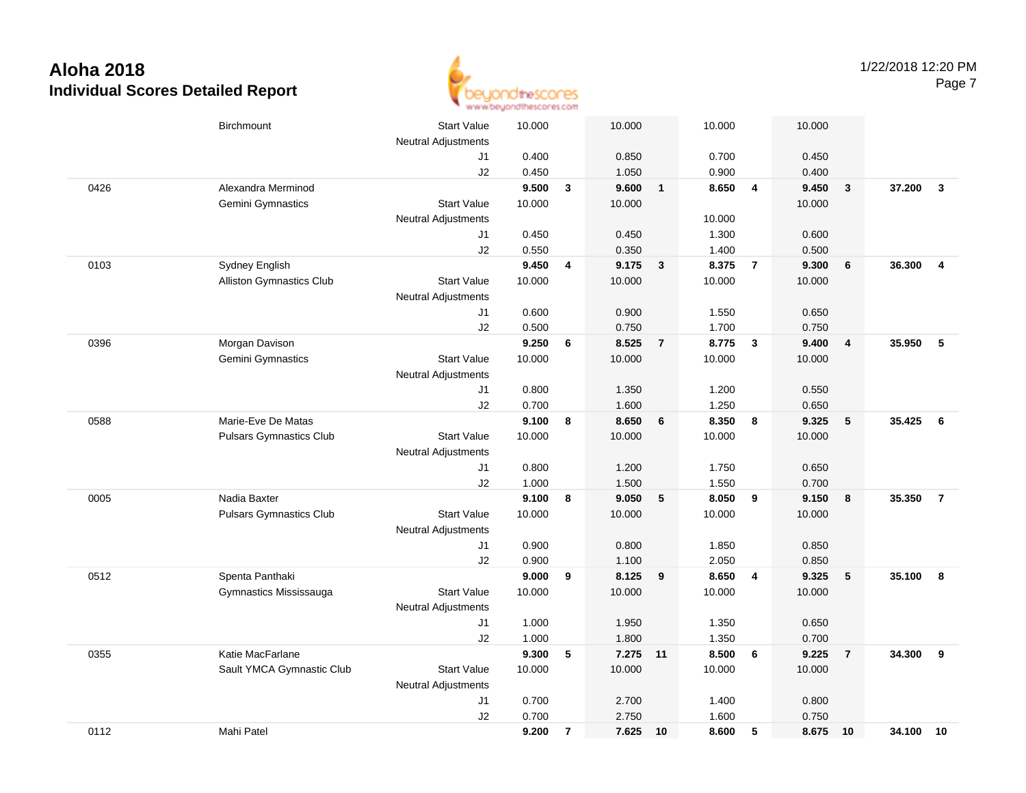

|      | <b>Birchmount</b>               | <b>Start Value</b>         | 10.000 |                | 10.000   |                | 10.000 |                         | 10.000 |                 |        |                |
|------|---------------------------------|----------------------------|--------|----------------|----------|----------------|--------|-------------------------|--------|-----------------|--------|----------------|
|      |                                 |                            |        |                |          |                |        |                         |        |                 |        |                |
|      |                                 | <b>Neutral Adjustments</b> |        |                |          |                |        |                         |        |                 |        |                |
|      |                                 | J1                         | 0.400  |                | 0.850    |                | 0.700  |                         | 0.450  |                 |        |                |
|      |                                 | J2                         | 0.450  |                | 1.050    |                | 0.900  |                         | 0.400  |                 |        |                |
| 0426 | Alexandra Merminod              |                            | 9.500  | $\mathbf{3}$   | 9.600    | $\overline{1}$ | 8.650  | $\overline{4}$          | 9.450  | $\mathbf{3}$    | 37.200 | $\mathbf{3}$   |
|      | Gemini Gymnastics               | <b>Start Value</b>         | 10.000 |                | 10.000   |                |        |                         | 10.000 |                 |        |                |
|      |                                 | <b>Neutral Adjustments</b> |        |                |          |                | 10.000 |                         |        |                 |        |                |
|      |                                 | J1                         | 0.450  |                | 0.450    |                | 1.300  |                         | 0.600  |                 |        |                |
|      |                                 | J2                         | 0.550  |                | 0.350    |                | 1.400  |                         | 0.500  |                 |        |                |
| 0103 | Sydney English                  |                            | 9.450  | 4              | 9.175    | $\mathbf{3}$   | 8.375  | $\overline{7}$          | 9.300  | 6               | 36.300 | $\overline{4}$ |
|      | <b>Alliston Gymnastics Club</b> | <b>Start Value</b>         | 10.000 |                | 10.000   |                | 10.000 |                         | 10.000 |                 |        |                |
|      |                                 | <b>Neutral Adjustments</b> |        |                |          |                |        |                         |        |                 |        |                |
|      |                                 | J1                         | 0.600  |                | 0.900    |                | 1.550  |                         | 0.650  |                 |        |                |
|      |                                 | J2                         | 0.500  |                | 0.750    |                | 1.700  |                         | 0.750  |                 |        |                |
| 0396 | Morgan Davison                  |                            | 9.250  | 6              | 8.525    | $\overline{7}$ | 8.775  | $\overline{\mathbf{3}}$ | 9.400  | $\overline{4}$  | 35.950 | 5              |
|      | Gemini Gymnastics               | <b>Start Value</b>         | 10.000 |                | 10.000   |                | 10.000 |                         | 10.000 |                 |        |                |
|      |                                 | <b>Neutral Adjustments</b> |        |                |          |                |        |                         |        |                 |        |                |
|      |                                 | J1                         | 0.800  |                | 1.350    |                | 1.200  |                         | 0.550  |                 |        |                |
|      |                                 | J2                         | 0.700  |                | 1.600    |                | 1.250  |                         | 0.650  |                 |        |                |
| 0588 | Marie-Eve De Matas              |                            | 9.100  | 8              | 8.650    | $6\phantom{1}$ | 8.350  | 8                       | 9.325  | $\sqrt{5}$      | 35.425 | 6              |
|      | <b>Pulsars Gymnastics Club</b>  | <b>Start Value</b>         | 10.000 |                | 10.000   |                | 10.000 |                         | 10.000 |                 |        |                |
|      |                                 | <b>Neutral Adjustments</b> |        |                |          |                |        |                         |        |                 |        |                |
|      |                                 | J1                         | 0.800  |                | 1.200    |                | 1.750  |                         | 0.650  |                 |        |                |
|      |                                 | J2                         | 1.000  |                | 1.500    |                | 1.550  |                         | 0.700  |                 |        |                |
| 0005 | Nadia Baxter                    |                            | 9.100  | 8              | 9.050    | 5              | 8.050  | 9                       | 9.150  | 8               | 35.350 | $\overline{7}$ |
|      | <b>Pulsars Gymnastics Club</b>  | <b>Start Value</b>         | 10.000 |                | 10.000   |                | 10.000 |                         | 10.000 |                 |        |                |
|      |                                 | <b>Neutral Adjustments</b> |        |                |          |                |        |                         |        |                 |        |                |
|      |                                 | J1                         | 0.900  |                | 0.800    |                | 1.850  |                         | 0.850  |                 |        |                |
|      |                                 | J2                         | 0.900  |                | 1.100    |                | 2.050  |                         | 0.850  |                 |        |                |
| 0512 | Spenta Panthaki                 |                            | 9.000  | 9              | 8.125    | 9              | 8.650  | $\overline{4}$          | 9.325  | $5\phantom{.0}$ | 35.100 | 8              |
|      | Gymnastics Mississauga          | <b>Start Value</b>         | 10.000 |                | 10.000   |                | 10.000 |                         | 10.000 |                 |        |                |
|      |                                 | <b>Neutral Adjustments</b> |        |                |          |                |        |                         |        |                 |        |                |
|      |                                 | J1                         | 1.000  |                | 1.950    |                | 1.350  |                         | 0.650  |                 |        |                |
|      |                                 | J2                         | 1.000  |                | 1.800    |                | 1.350  |                         | 0.700  |                 |        |                |
| 0355 | Katie MacFarlane                |                            | 9.300  | 5              | 7.275 11 |                | 8.500  | 6                       | 9.225  | $\overline{7}$  | 34.300 | 9              |
|      | Sault YMCA Gymnastic Club       | <b>Start Value</b>         | 10.000 |                | 10.000   |                | 10.000 |                         | 10.000 |                 |        |                |
|      |                                 | Neutral Adjustments        |        |                |          |                |        |                         |        |                 |        |                |
|      |                                 | J1                         | 0.700  |                | 2.700    |                | 1.400  |                         | 0.800  |                 |        |                |
|      |                                 | J2                         | 0.700  |                | 2.750    |                | 1.600  |                         | 0.750  |                 |        |                |
| 0112 | Mahi Patel                      |                            | 9.200  | $\overline{7}$ | 7.625 10 |                | 8.600  | 5                       | 8.675  | 10              | 34.100 | 10             |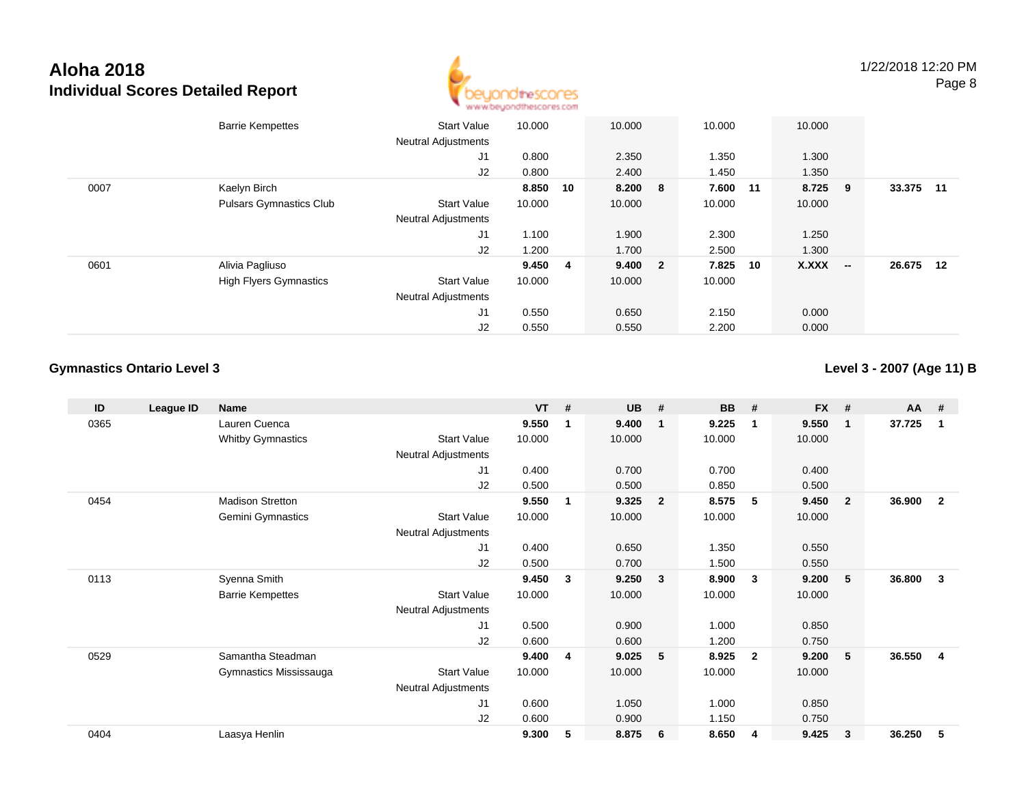

|      | <b>Barrie Kempettes</b>        | <b>Start Value</b><br><b>Neutral Adjustments</b> | 10.000  |    | 10.000  | 10.000   |    | 10.000  |                          |        |    |
|------|--------------------------------|--------------------------------------------------|---------|----|---------|----------|----|---------|--------------------------|--------|----|
|      |                                | J1                                               | 0.800   |    | 2.350   | 1.350    |    | 1.300   |                          |        |    |
|      |                                | J2                                               | 0.800   |    | 2.400   | 1.450    |    | 1.350   |                          |        |    |
| 0007 | Kaelyn Birch                   |                                                  | 8.850   | 10 | 8.200 8 | 7.600 11 |    | 8.725 9 |                          | 33.375 | 11 |
|      | <b>Pulsars Gymnastics Club</b> | <b>Start Value</b>                               | 10.000  |    | 10.000  | 10.000   |    | 10.000  |                          |        |    |
|      |                                | <b>Neutral Adjustments</b>                       |         |    |         |          |    |         |                          |        |    |
|      |                                | J1                                               | 1.100   |    | 1.900   | 2.300    |    | 1.250   |                          |        |    |
|      |                                | J2                                               | 1.200   |    | 1.700   | 2.500    |    | 1.300   |                          |        |    |
| 0601 | Alivia Pagliuso                |                                                  | 9.450 4 |    | 9.400 2 | 7.825    | 10 | X.XXX   | $\overline{\phantom{a}}$ | 26.675 | 12 |
|      | <b>High Flyers Gymnastics</b>  | <b>Start Value</b>                               | 10.000  |    | 10.000  | 10.000   |    |         |                          |        |    |
|      |                                | <b>Neutral Adjustments</b>                       |         |    |         |          |    |         |                          |        |    |
|      |                                | J1                                               | 0.550   |    | 0.650   | 2.150    |    | 0.000   |                          |        |    |
|      |                                | J2                                               | 0.550   |    | 0.550   | 2.200    |    | 0.000   |                          |        |    |

#### **Gymnastics Ontario Level 3**

**Level 3 - 2007 (Age 11) B**

| ID   | League ID | <b>Name</b>              |                            | <b>VT</b> | # | <b>UB</b> | #                       | <b>BB</b> | #              | <b>FX</b> | #              | <b>AA</b> | -#             |
|------|-----------|--------------------------|----------------------------|-----------|---|-----------|-------------------------|-----------|----------------|-----------|----------------|-----------|----------------|
| 0365 |           | Lauren Cuenca            |                            | 9.550     | 1 | 9.400     | -1                      | 9.225     | $\mathbf 1$    | 9.550     | $\mathbf 1$    | 37.725    | 1              |
|      |           | <b>Whitby Gymnastics</b> | <b>Start Value</b>         | 10.000    |   | 10.000    |                         | 10.000    |                | 10.000    |                |           |                |
|      |           |                          | <b>Neutral Adjustments</b> |           |   |           |                         |           |                |           |                |           |                |
|      |           |                          | J1                         | 0.400     |   | 0.700     |                         | 0.700     |                | 0.400     |                |           |                |
|      |           |                          | J2                         | 0.500     |   | 0.500     |                         | 0.850     |                | 0.500     |                |           |                |
| 0454 |           | <b>Madison Stretton</b>  |                            | 9.550     | 1 | 9.325     | $\overline{2}$          | 8.575     | 5              | 9.450     | $\overline{2}$ | 36.900    | $\overline{2}$ |
|      |           | Gemini Gymnastics        | <b>Start Value</b>         | 10.000    |   | 10.000    |                         | 10.000    |                | 10.000    |                |           |                |
|      |           |                          | Neutral Adjustments        |           |   |           |                         |           |                |           |                |           |                |
|      |           |                          | J1                         | 0.400     |   | 0.650     |                         | 1.350     |                | 0.550     |                |           |                |
|      |           |                          | J <sub>2</sub>             | 0.500     |   | 0.700     |                         | 1.500     |                | 0.550     |                |           |                |
| 0113 |           | Syenna Smith             |                            | 9.450     | 3 | 9.250     | $\overline{\mathbf{3}}$ | 8.900     | 3              | 9.200     | 5              | 36.800    | 3              |
|      |           | <b>Barrie Kempettes</b>  | <b>Start Value</b>         | 10.000    |   | 10.000    |                         | 10.000    |                | 10.000    |                |           |                |
|      |           |                          | Neutral Adjustments        |           |   |           |                         |           |                |           |                |           |                |
|      |           |                          | J1                         | 0.500     |   | 0.900     |                         | 1.000     |                | 0.850     |                |           |                |
|      |           |                          | J <sub>2</sub>             | 0.600     |   | 0.600     |                         | 1.200     |                | 0.750     |                |           |                |
| 0529 |           | Samantha Steadman        |                            | 9.400     | 4 | 9.025     | 5 <sub>5</sub>          | 8.925     | $\overline{2}$ | 9.200     | 5              | 36.550    | $\overline{4}$ |
|      |           | Gymnastics Mississauga   | <b>Start Value</b>         | 10.000    |   | 10.000    |                         | 10.000    |                | 10.000    |                |           |                |
|      |           |                          | <b>Neutral Adjustments</b> |           |   |           |                         |           |                |           |                |           |                |
|      |           |                          | J1                         | 0.600     |   | 1.050     |                         | 1.000     |                | 0.850     |                |           |                |
|      |           |                          | J <sub>2</sub>             | 0.600     |   | 0.900     |                         | 1.150     |                | 0.750     |                |           |                |
| 0404 |           | Laasya Henlin            |                            | 9.300     | 5 | 8.875     | 6                       | 8.650     | 4              | 9.425     | 3              | 36.250    | 5              |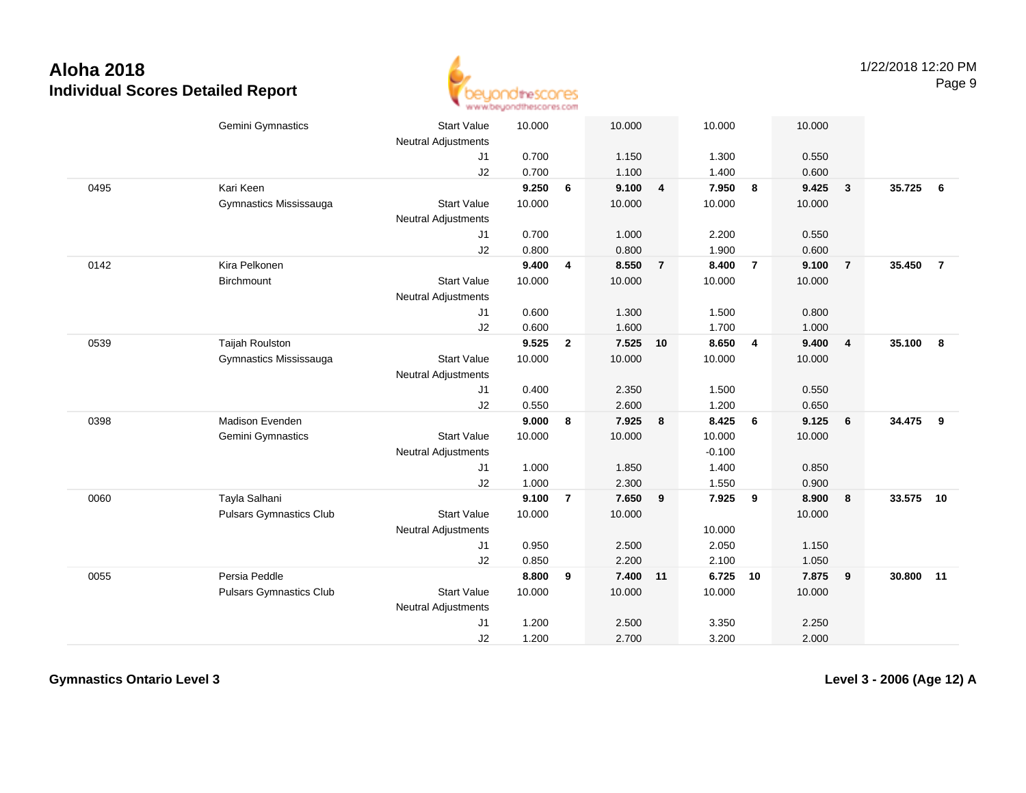

|      | Gemini Gymnastics              | <b>Start Value</b><br><b>Neutral Adjustments</b> | 10.000 |                         | 10.000   |                | 10.000   |                | 10.000 |                |        |                |
|------|--------------------------------|--------------------------------------------------|--------|-------------------------|----------|----------------|----------|----------------|--------|----------------|--------|----------------|
|      |                                | J1                                               | 0.700  |                         | 1.150    |                | 1.300    |                | 0.550  |                |        |                |
|      |                                | J2                                               | 0.700  |                         | 1.100    |                | 1.400    |                | 0.600  |                |        |                |
| 0495 | Kari Keen                      |                                                  | 9.250  | 6                       | 9.100    | $\overline{4}$ | 7.950    | 8              | 9.425  | $\mathbf{3}$   | 35.725 | 6              |
|      | Gymnastics Mississauga         | <b>Start Value</b>                               | 10.000 |                         | 10.000   |                | 10.000   |                | 10.000 |                |        |                |
|      |                                | <b>Neutral Adjustments</b>                       |        |                         |          |                |          |                |        |                |        |                |
|      |                                | J1                                               | 0.700  |                         | 1.000    |                | 2.200    |                | 0.550  |                |        |                |
|      |                                | J2                                               | 0.800  |                         | 0.800    |                | 1.900    |                | 0.600  |                |        |                |
| 0142 | Kira Pelkonen                  |                                                  | 9.400  | 4                       | 8.550    | $\overline{7}$ | 8.400    | $\overline{7}$ | 9.100  | $\overline{7}$ | 35.450 | $\overline{7}$ |
|      | <b>Birchmount</b>              | <b>Start Value</b>                               | 10.000 |                         | 10.000   |                | 10.000   |                | 10.000 |                |        |                |
|      |                                | <b>Neutral Adjustments</b>                       |        |                         |          |                |          |                |        |                |        |                |
|      |                                | J1                                               | 0.600  |                         | 1.300    |                | 1.500    |                | 0.800  |                |        |                |
|      |                                | J2                                               | 0.600  |                         | 1.600    |                | 1.700    |                | 1.000  |                |        |                |
| 0539 | <b>Taijah Roulston</b>         |                                                  | 9.525  | $\overline{2}$          | 7.525    | 10             | 8.650    | $\overline{4}$ | 9.400  | $\overline{4}$ | 35.100 | 8              |
|      | Gymnastics Mississauga         | <b>Start Value</b>                               | 10.000 |                         | 10.000   |                | 10.000   |                | 10.000 |                |        |                |
|      |                                | <b>Neutral Adjustments</b>                       |        |                         |          |                |          |                |        |                |        |                |
|      |                                | J1                                               | 0.400  |                         | 2.350    |                | 1.500    |                | 0.550  |                |        |                |
|      |                                | J2                                               | 0.550  |                         | 2.600    |                | 1.200    |                | 0.650  |                |        |                |
| 0398 | Madison Evenden                |                                                  | 9.000  | 8                       | 7.925    | 8              | 8.425    | 6              | 9.125  | 6              | 34.475 | 9              |
|      | Gemini Gymnastics              | <b>Start Value</b>                               | 10.000 |                         | 10.000   |                | 10.000   |                | 10.000 |                |        |                |
|      |                                | <b>Neutral Adjustments</b>                       |        |                         |          |                | $-0.100$ |                |        |                |        |                |
|      |                                | J1                                               | 1.000  |                         | 1.850    |                | 1.400    |                | 0.850  |                |        |                |
|      |                                | J2                                               | 1.000  |                         | 2.300    |                | 1.550    |                | 0.900  |                |        |                |
| 0060 | Tayla Salhani                  |                                                  | 9.100  | $\overline{\mathbf{r}}$ | 7.650    | 9              | 7.925    | 9              | 8.900  | 8              | 33.575 | 10             |
|      | <b>Pulsars Gymnastics Club</b> | <b>Start Value</b>                               | 10.000 |                         | 10.000   |                |          |                | 10.000 |                |        |                |
|      |                                | Neutral Adjustments                              |        |                         |          |                | 10.000   |                |        |                |        |                |
|      |                                | J1                                               | 0.950  |                         | 2.500    |                | 2.050    |                | 1.150  |                |        |                |
|      |                                | J2                                               | 0.850  |                         | 2.200    |                | 2.100    |                | 1.050  |                |        |                |
| 0055 | Persia Peddle                  |                                                  | 8.800  | 9                       | 7.400 11 |                | 6.725    | 10             | 7.875  | 9              | 30.800 | 11             |
|      | <b>Pulsars Gymnastics Club</b> | <b>Start Value</b>                               | 10.000 |                         | 10.000   |                | 10.000   |                | 10.000 |                |        |                |
|      |                                | Neutral Adjustments                              |        |                         |          |                |          |                |        |                |        |                |
|      |                                | J <sub>1</sub>                                   | 1.200  |                         | 2.500    |                | 3.350    |                | 2.250  |                |        |                |
|      |                                | J2                                               | 1.200  |                         | 2.700    |                | 3.200    |                | 2.000  |                |        |                |

**Gymnastics Ontario Level 3**

**Level 3 - 2006 (Age 12) A**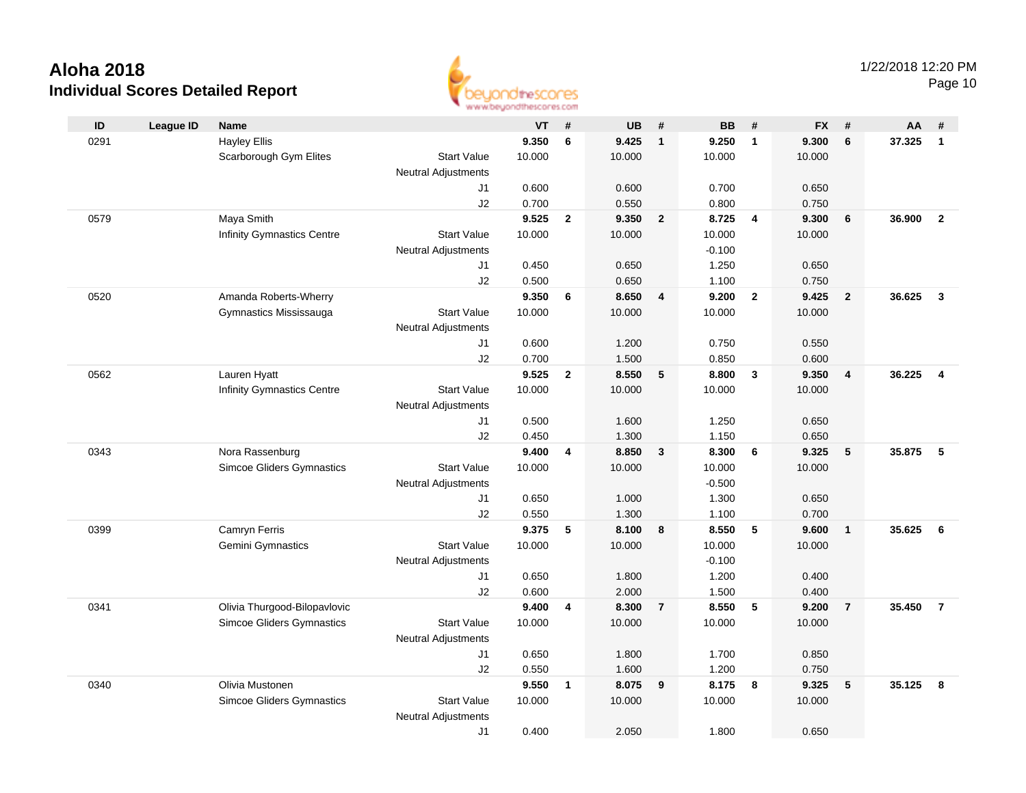

Page 10

| ID   | <b>League ID</b> | <b>Name</b>                       |                            | <b>VT</b> | #            | <b>UB</b> | #               | <b>BB</b>         | #                       | <b>FX</b> | #              | AA     | #              |
|------|------------------|-----------------------------------|----------------------------|-----------|--------------|-----------|-----------------|-------------------|-------------------------|-----------|----------------|--------|----------------|
| 0291 |                  | <b>Hayley Ellis</b>               |                            | 9.350     | 6            | 9.425     | $\mathbf{1}$    | 9.250             | $\mathbf{1}$            | 9.300     | 6              | 37.325 | $\overline{1}$ |
|      |                  | Scarborough Gym Elites            | <b>Start Value</b>         | 10.000    |              | 10.000    |                 | 10.000            |                         | 10.000    |                |        |                |
|      |                  |                                   | <b>Neutral Adjustments</b> |           |              |           |                 |                   |                         |           |                |        |                |
|      |                  |                                   | J1                         | 0.600     |              | 0.600     |                 | 0.700             |                         | 0.650     |                |        |                |
|      |                  |                                   | J2                         | 0.700     |              | 0.550     |                 | 0.800             |                         | 0.750     |                |        |                |
| 0579 |                  | Maya Smith                        |                            | 9.525     | $\mathbf{2}$ | 9.350     | $\overline{2}$  | 8.725             | $\overline{\mathbf{4}}$ | 9.300     | 6              | 36.900 | $\overline{2}$ |
|      |                  | <b>Infinity Gymnastics Centre</b> | <b>Start Value</b>         | 10.000    |              | 10.000    |                 | 10.000            |                         | 10.000    |                |        |                |
|      |                  |                                   | <b>Neutral Adjustments</b> |           |              |           |                 | $-0.100$          |                         |           |                |        |                |
|      |                  |                                   | J1                         | 0.450     |              | 0.650     |                 | 1.250             |                         | 0.650     |                |        |                |
|      |                  |                                   | J2                         | 0.500     |              | 0.650     |                 | 1.100             |                         | 0.750     |                |        |                |
| 0520 |                  | Amanda Roberts-Wherry             |                            | 9.350     | 6            | 8.650     | 4               | 9.200             | $\overline{2}$          | 9.425     | $\overline{2}$ | 36.625 | $\mathbf{3}$   |
|      |                  | Gymnastics Mississauga            | <b>Start Value</b>         | 10.000    |              | 10.000    |                 | 10.000            |                         | 10.000    |                |        |                |
|      |                  |                                   | <b>Neutral Adjustments</b> |           |              |           |                 |                   |                         |           |                |        |                |
|      |                  |                                   | J1                         | 0.600     |              | 1.200     |                 | 0.750             |                         | 0.550     |                |        |                |
|      |                  |                                   | J2                         | 0.700     |              | 1.500     |                 | 0.850             |                         | 0.600     |                |        |                |
| 0562 |                  | Lauren Hyatt                      |                            | 9.525     | $\mathbf{2}$ | 8.550     | $5\phantom{.0}$ | 8.800             | $\mathbf{3}$            | 9.350     | $\overline{4}$ | 36.225 | $\overline{4}$ |
|      |                  | <b>Infinity Gymnastics Centre</b> | <b>Start Value</b>         | 10.000    |              | 10.000    |                 | 10.000            |                         | 10.000    |                |        |                |
|      |                  |                                   | <b>Neutral Adjustments</b> |           |              |           |                 |                   |                         |           |                |        |                |
|      |                  |                                   | J1                         | 0.500     |              | 1.600     |                 | 1.250             |                         | 0.650     |                |        |                |
|      |                  |                                   | J2                         | 0.450     |              | 1.300     |                 | 1.150             |                         | 0.650     |                |        |                |
| 0343 |                  | Nora Rassenburg                   |                            | 9.400     | 4            | 8.850     | $\mathbf{3}$    | 8.300             | 6                       | 9.325     | 5              | 35.875 | - 5            |
|      |                  | Simcoe Gliders Gymnastics         | <b>Start Value</b>         | 10.000    |              | 10.000    |                 | 10.000            |                         | 10.000    |                |        |                |
|      |                  |                                   | <b>Neutral Adjustments</b> |           |              |           |                 | $-0.500$          |                         |           |                |        |                |
|      |                  |                                   | J1                         | 0.650     |              | 1.000     |                 | 1.300             |                         | 0.650     |                |        |                |
|      |                  |                                   | J2                         | 0.550     |              | 1.300     |                 | 1.100             |                         | 0.700     |                |        |                |
| 0399 |                  | Camryn Ferris                     |                            | 9.375     | 5            | 8.100     | 8               | 8.550             | 5                       | 9.600     | $\overline{1}$ | 35.625 | - 6            |
|      |                  | Gemini Gymnastics                 | <b>Start Value</b>         | 10.000    |              | 10.000    |                 | 10.000            |                         | 10.000    |                |        |                |
|      |                  |                                   | <b>Neutral Adjustments</b> | 0.650     |              | 1.800     |                 | $-0.100$<br>1.200 |                         | 0.400     |                |        |                |
|      |                  |                                   | J1<br>J2                   | 0.600     |              | 2.000     |                 | 1.500             |                         | 0.400     |                |        |                |
| 0341 |                  | Olivia Thurgood-Bilopavlovic      |                            | 9.400     | 4            | 8.300     | $\overline{7}$  | 8.550             | 5                       | 9.200     | $\overline{7}$ | 35.450 | $\overline{7}$ |
|      |                  | <b>Simcoe Gliders Gymnastics</b>  | <b>Start Value</b>         | 10.000    |              | 10.000    |                 | 10.000            |                         | 10.000    |                |        |                |
|      |                  |                                   | <b>Neutral Adjustments</b> |           |              |           |                 |                   |                         |           |                |        |                |
|      |                  |                                   | J1                         | 0.650     |              | 1.800     |                 | 1.700             |                         | 0.850     |                |        |                |
|      |                  |                                   | J2                         | 0.550     |              | 1.600     |                 | 1.200             |                         | 0.750     |                |        |                |
| 0340 |                  | Olivia Mustonen                   |                            | 9.550     | 1            | 8.075     | 9               | 8.175             | 8                       | 9.325     | 5              | 35.125 | -8             |
|      |                  | <b>Simcoe Gliders Gymnastics</b>  | <b>Start Value</b>         | 10.000    |              | 10.000    |                 | 10.000            |                         | 10.000    |                |        |                |
|      |                  |                                   | <b>Neutral Adjustments</b> |           |              |           |                 |                   |                         |           |                |        |                |
|      |                  |                                   | J1                         | 0.400     |              | 2.050     |                 | 1.800             |                         | 0.650     |                |        |                |
|      |                  |                                   |                            |           |              |           |                 |                   |                         |           |                |        |                |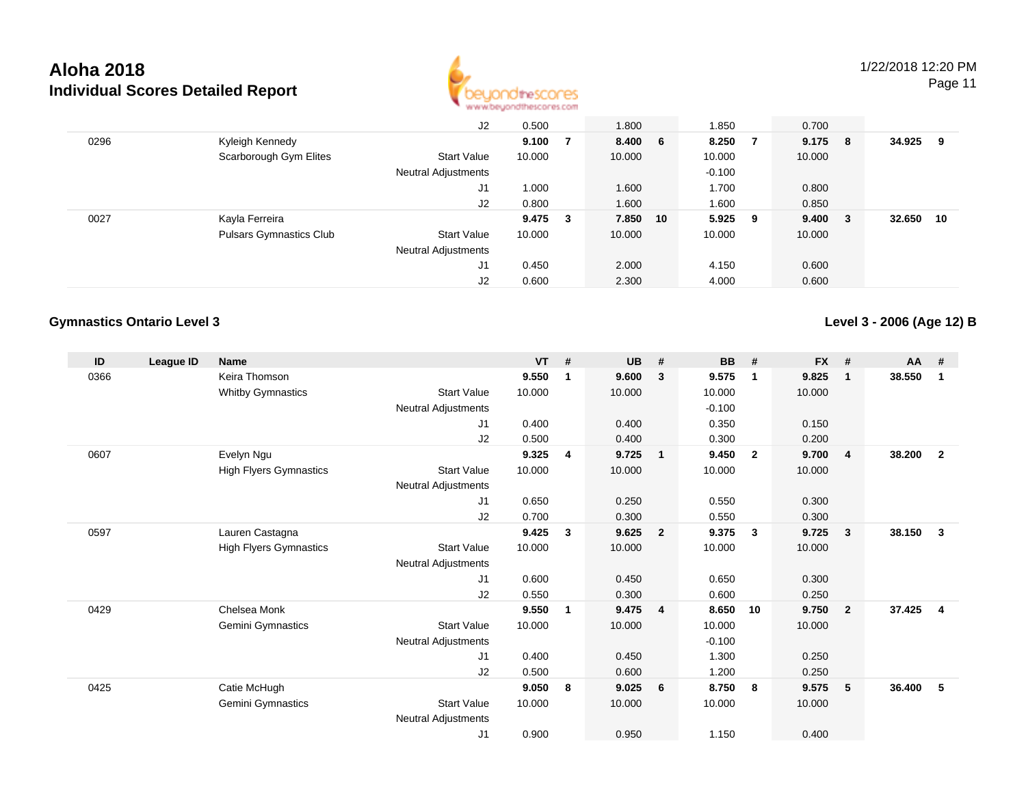

Page 11

|      |                                | J2                         | 0.500  |     | 1.800   |    | 1.850    |   | 0.700           |        |     |
|------|--------------------------------|----------------------------|--------|-----|---------|----|----------|---|-----------------|--------|-----|
| 0296 | Kyleigh Kennedy                |                            | 9.100  |     | 8.400 6 |    | 8.250    | 7 | 9.175 8         | 34.925 | - 9 |
|      | Scarborough Gym Elites         | <b>Start Value</b>         | 10.000 |     | 10.000  |    | 10.000   |   | 10.000          |        |     |
|      |                                | <b>Neutral Adjustments</b> |        |     |         |    | $-0.100$ |   |                 |        |     |
|      |                                | J1                         | 1.000  |     | 1.600   |    | 1.700    |   | 0.800           |        |     |
|      |                                | J2                         | 0.800  |     | 1.600   |    | 1.600    |   | 0.850           |        |     |
| 0027 | Kayla Ferreira                 |                            | 9.475  | - 3 | 7.850   | 10 | 5.925 9  |   | $9.400 \quad 3$ | 32.650 | 10  |
|      | <b>Pulsars Gymnastics Club</b> | Start Value                | 10.000 |     | 10.000  |    | 10.000   |   | 10.000          |        |     |
|      |                                | <b>Neutral Adjustments</b> |        |     |         |    |          |   |                 |        |     |
|      |                                | J1                         | 0.450  |     | 2.000   |    | 4.150    |   | 0.600           |        |     |
|      |                                | J2                         | 0.600  |     | 2.300   |    | 4.000    |   | 0.600           |        |     |

#### **Gymnastics Ontario Level 3**

**Level 3 - 2006 (Age 12) B**

| ID   | League ID | <b>Name</b>                   |                            | <b>VT</b> | # | <b>UB</b> | #              | <b>BB</b> | #                       | <b>FX</b> | #              | <b>AA</b> | #              |
|------|-----------|-------------------------------|----------------------------|-----------|---|-----------|----------------|-----------|-------------------------|-----------|----------------|-----------|----------------|
| 0366 |           | Keira Thomson                 |                            | 9.550     | 1 | 9.600     | 3              | 9.575     | $\mathbf 1$             | 9.825     | $\mathbf 1$    | 38.550    | -1             |
|      |           | <b>Whitby Gymnastics</b>      | <b>Start Value</b>         | 10.000    |   | 10.000    |                | 10.000    |                         | 10.000    |                |           |                |
|      |           |                               | <b>Neutral Adjustments</b> |           |   |           |                | $-0.100$  |                         |           |                |           |                |
|      |           |                               | J1                         | 0.400     |   | 0.400     |                | 0.350     |                         | 0.150     |                |           |                |
|      |           |                               | J2                         | 0.500     |   | 0.400     |                | 0.300     |                         | 0.200     |                |           |                |
| 0607 |           | Evelyn Ngu                    |                            | 9.325     | 4 | 9.725     | $\overline{1}$ | 9.450     | $\overline{\mathbf{2}}$ | 9.700     | $\overline{4}$ | 38.200    | $\overline{2}$ |
|      |           | <b>High Flyers Gymnastics</b> | <b>Start Value</b>         | 10.000    |   | 10.000    |                | 10.000    |                         | 10.000    |                |           |                |
|      |           |                               | <b>Neutral Adjustments</b> |           |   |           |                |           |                         |           |                |           |                |
|      |           |                               | J1                         | 0.650     |   | 0.250     |                | 0.550     |                         | 0.300     |                |           |                |
|      |           |                               | J2                         | 0.700     |   | 0.300     |                | 0.550     |                         | 0.300     |                |           |                |
| 0597 |           | Lauren Castagna               |                            | 9.425     | 3 | 9.625     | $\overline{2}$ | 9.375     | $\mathbf{3}$            | 9.725     | $\mathbf{3}$   | 38.150    | $\mathbf{3}$   |
|      |           | <b>High Flyers Gymnastics</b> | <b>Start Value</b>         | 10.000    |   | 10.000    |                | 10.000    |                         | 10.000    |                |           |                |
|      |           |                               | <b>Neutral Adjustments</b> |           |   |           |                |           |                         |           |                |           |                |
|      |           |                               | J1                         | 0.600     |   | 0.450     |                | 0.650     |                         | 0.300     |                |           |                |
|      |           |                               | J2                         | 0.550     |   | 0.300     |                | 0.600     |                         | 0.250     |                |           |                |
| 0429 |           | Chelsea Monk                  |                            | 9.550     | 1 | 9.475     | $\overline{4}$ | 8.650     | 10                      | 9.750     | $\overline{2}$ | 37.425    | $\overline{4}$ |
|      |           | Gemini Gymnastics             | <b>Start Value</b>         | 10.000    |   | 10.000    |                | 10.000    |                         | 10.000    |                |           |                |
|      |           |                               | Neutral Adjustments        |           |   |           |                | $-0.100$  |                         |           |                |           |                |
|      |           |                               | J1                         | 0.400     |   | 0.450     |                | 1.300     |                         | 0.250     |                |           |                |
|      |           |                               | J2                         | 0.500     |   | 0.600     |                | 1.200     |                         | 0.250     |                |           |                |
| 0425 |           | Catie McHugh                  |                            | 9.050     | 8 | 9.025     | 6              | 8.750     | -8                      | 9.575     | 5              | 36.400    | 5              |
|      |           | <b>Gemini Gymnastics</b>      | <b>Start Value</b>         | 10.000    |   | 10.000    |                | 10.000    |                         | 10.000    |                |           |                |
|      |           |                               | Neutral Adjustments        |           |   |           |                |           |                         |           |                |           |                |
|      |           |                               | J <sub>1</sub>             | 0.900     |   | 0.950     |                | 1.150     |                         | 0.400     |                |           |                |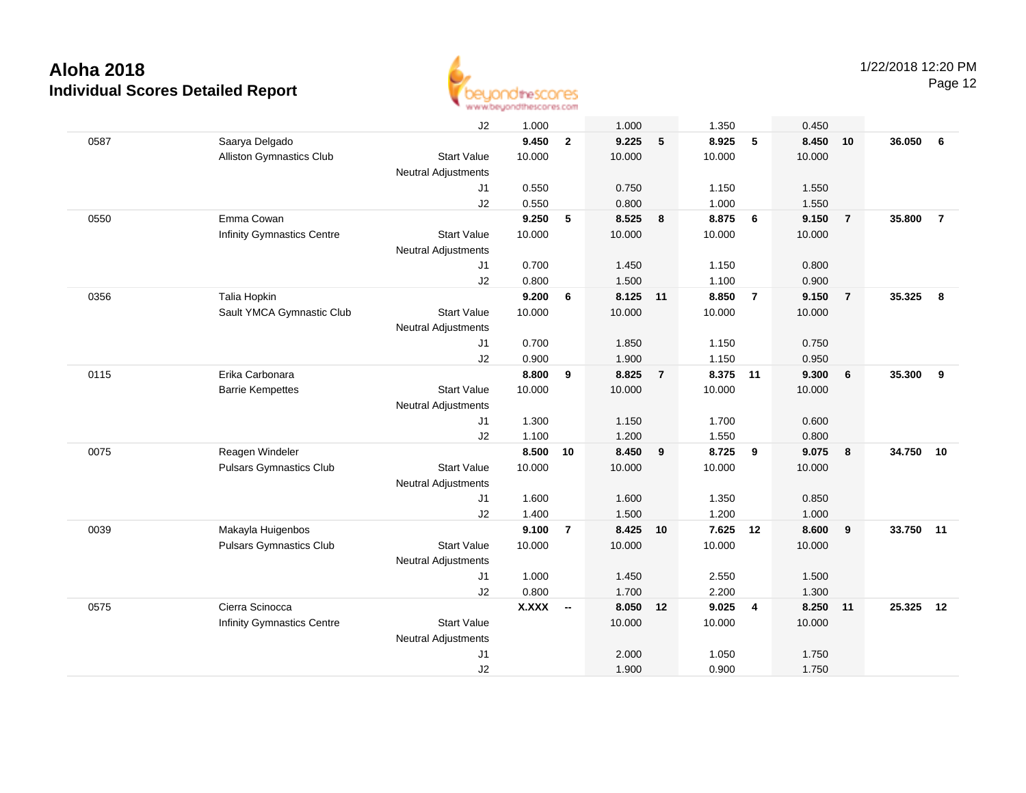

Page 12

|      |                                   | J2                         | 1.000        |                          | 1.000    |                | 1.350  |                | 0.450  |                  |        |                |
|------|-----------------------------------|----------------------------|--------------|--------------------------|----------|----------------|--------|----------------|--------|------------------|--------|----------------|
| 0587 | Saarya Delgado                    |                            | 9.450        | $\mathbf{2}$             | 9.225    | 5              | 8.925  | 5              | 8.450  | 10               | 36.050 | 6              |
|      | Alliston Gymnastics Club          | <b>Start Value</b>         | 10.000       |                          | 10.000   |                | 10.000 |                | 10.000 |                  |        |                |
|      |                                   | <b>Neutral Adjustments</b> |              |                          |          |                |        |                |        |                  |        |                |
|      |                                   | J1                         | 0.550        |                          | 0.750    |                | 1.150  |                | 1.550  |                  |        |                |
|      |                                   | J2                         | 0.550        |                          | 0.800    |                | 1.000  |                | 1.550  |                  |        |                |
| 0550 | Emma Cowan                        |                            | 9.250        | 5                        | 8.525    | 8              | 8.875  | 6              | 9.150  | $\overline{7}$   | 35.800 | $\overline{7}$ |
|      | <b>Infinity Gymnastics Centre</b> | <b>Start Value</b>         | 10.000       |                          | 10.000   |                | 10.000 |                | 10.000 |                  |        |                |
|      |                                   | <b>Neutral Adjustments</b> |              |                          |          |                |        |                |        |                  |        |                |
|      |                                   | J <sub>1</sub>             | 0.700        |                          | 1.450    |                | 1.150  |                | 0.800  |                  |        |                |
|      |                                   | J2                         | 0.800        |                          | 1.500    |                | 1.100  |                | 0.900  |                  |        |                |
| 0356 | Talia Hopkin                      |                            | 9.200        | 6                        | 8.125    | 11             | 8.850  | $\overline{7}$ | 9.150  | $\overline{7}$   | 35.325 | 8              |
|      | Sault YMCA Gymnastic Club         | <b>Start Value</b>         | 10.000       |                          | 10.000   |                | 10.000 |                | 10.000 |                  |        |                |
|      |                                   | <b>Neutral Adjustments</b> |              |                          |          |                |        |                |        |                  |        |                |
|      |                                   | J1                         | 0.700        |                          | 1.850    |                | 1.150  |                | 0.750  |                  |        |                |
|      |                                   | J2                         | 0.900        |                          | 1.900    |                | 1.150  |                | 0.950  |                  |        |                |
| 0115 | Erika Carbonara                   |                            | 8.800        | 9                        | 8.825    | $\overline{7}$ | 8.375  | 11             | 9.300  | 6                | 35.300 | 9              |
|      | <b>Barrie Kempettes</b>           | <b>Start Value</b>         | 10.000       |                          | 10.000   |                | 10.000 |                | 10.000 |                  |        |                |
|      |                                   | <b>Neutral Adjustments</b> |              |                          |          |                |        |                |        |                  |        |                |
|      |                                   | J1                         | 1.300        |                          | 1.150    |                | 1.700  |                | 0.600  |                  |        |                |
|      |                                   | J2                         | 1.100        |                          | 1.200    |                | 1.550  |                | 0.800  |                  |        |                |
| 0075 | Reagen Windeler                   |                            | 8.500        | 10                       | 8.450    | 9              | 8.725  | 9              | 9.075  | $\boldsymbol{8}$ | 34.750 | 10             |
|      | <b>Pulsars Gymnastics Club</b>    | <b>Start Value</b>         | 10.000       |                          | 10.000   |                | 10.000 |                | 10.000 |                  |        |                |
|      |                                   | <b>Neutral Adjustments</b> |              |                          |          |                |        |                |        |                  |        |                |
|      |                                   | J1                         | 1.600        |                          | 1.600    |                | 1.350  |                | 0.850  |                  |        |                |
|      |                                   | J2                         | 1.400        |                          | 1.500    |                | 1.200  |                | 1.000  |                  |        |                |
| 0039 | Makayla Huigenbos                 |                            | 9.100        | $\overline{7}$           | 8.425 10 |                | 7.625  | 12             | 8.600  | $\overline{9}$   | 33.750 | 11             |
|      | <b>Pulsars Gymnastics Club</b>    | <b>Start Value</b>         | 10.000       |                          | 10.000   |                | 10.000 |                | 10.000 |                  |        |                |
|      |                                   | <b>Neutral Adjustments</b> |              |                          |          |                |        |                |        |                  |        |                |
|      |                                   | J1                         | 1.000        |                          | 1.450    |                | 2.550  |                | 1.500  |                  |        |                |
|      |                                   | J2                         | 0.800        |                          | 1.700    |                | 2.200  |                | 1.300  |                  |        |                |
| 0575 | Cierra Scinocca                   |                            | <b>X.XXX</b> | $\overline{\phantom{a}}$ | 8.050    | 12             | 9.025  | $\overline{4}$ | 8.250  | 11               | 25.325 | 12             |
|      | <b>Infinity Gymnastics Centre</b> | <b>Start Value</b>         |              |                          | 10.000   |                | 10.000 |                | 10.000 |                  |        |                |
|      |                                   | <b>Neutral Adjustments</b> |              |                          |          |                |        |                |        |                  |        |                |
|      |                                   | J <sub>1</sub>             |              |                          | 2.000    |                | 1.050  |                | 1.750  |                  |        |                |
|      |                                   | J2                         |              |                          | 1.900    |                | 0.900  |                | 1.750  |                  |        |                |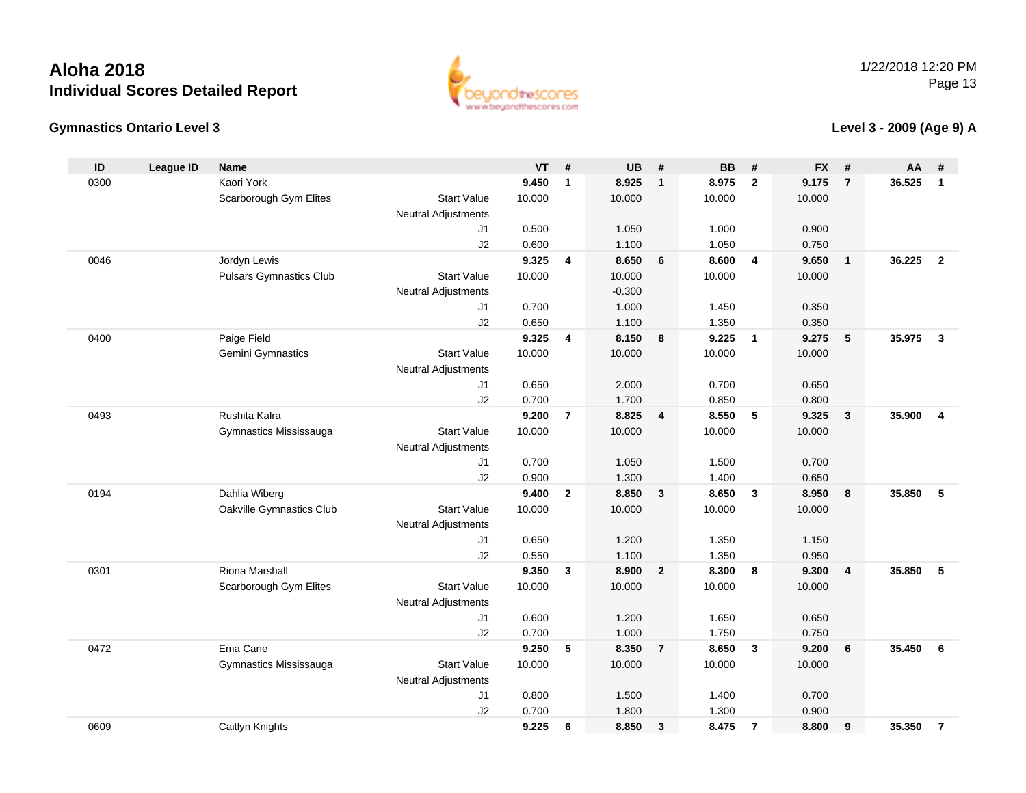



### **Level 3 - 2009 (Age 9) A**

| ID   | <b>League ID</b> | Name                           |                            | VT     | #                       | <b>UB</b> | #              | <b>BB</b> | #                       | <b>FX</b> | #                       | AA     | #                       |
|------|------------------|--------------------------------|----------------------------|--------|-------------------------|-----------|----------------|-----------|-------------------------|-----------|-------------------------|--------|-------------------------|
| 0300 |                  | Kaori York                     |                            | 9.450  | $\mathbf{1}$            | 8.925     | $\overline{1}$ | 8.975     | $\overline{2}$          | 9.175     | $\overline{7}$          | 36.525 | $\mathbf{1}$            |
|      |                  | Scarborough Gym Elites         | <b>Start Value</b>         | 10.000 |                         | 10.000    |                | 10.000    |                         | 10.000    |                         |        |                         |
|      |                  |                                | Neutral Adjustments        |        |                         |           |                |           |                         |           |                         |        |                         |
|      |                  |                                | J1                         | 0.500  |                         | 1.050     |                | 1.000     |                         | 0.900     |                         |        |                         |
|      |                  |                                | J2                         | 0.600  |                         | 1.100     |                | 1.050     |                         | 0.750     |                         |        |                         |
| 0046 |                  | Jordyn Lewis                   |                            | 9.325  | 4                       | 8.650     | 6              | 8.600     | $\overline{4}$          | 9.650     | $\overline{1}$          | 36.225 | $\overline{2}$          |
|      |                  | <b>Pulsars Gymnastics Club</b> | <b>Start Value</b>         | 10.000 |                         | 10.000    |                | 10.000    |                         | 10.000    |                         |        |                         |
|      |                  |                                | <b>Neutral Adjustments</b> |        |                         | $-0.300$  |                |           |                         |           |                         |        |                         |
|      |                  |                                | J1                         | 0.700  |                         | 1.000     |                | 1.450     |                         | 0.350     |                         |        |                         |
|      |                  |                                | J2                         | 0.650  |                         | 1.100     |                | 1.350     |                         | 0.350     |                         |        |                         |
| 0400 |                  | Paige Field                    |                            | 9.325  | $\overline{\mathbf{4}}$ | 8.150     | 8              | 9.225     | $\overline{\mathbf{1}}$ | 9.275     | 5                       | 35.975 | $\overline{\mathbf{3}}$ |
|      |                  | Gemini Gymnastics              | <b>Start Value</b>         | 10.000 |                         | 10.000    |                | 10.000    |                         | 10.000    |                         |        |                         |
|      |                  |                                | <b>Neutral Adjustments</b> |        |                         |           |                |           |                         |           |                         |        |                         |
|      |                  |                                | J1                         | 0.650  |                         | 2.000     |                | 0.700     |                         | 0.650     |                         |        |                         |
|      |                  |                                | J2                         | 0.700  |                         | 1.700     |                | 0.850     |                         | 0.800     |                         |        |                         |
| 0493 |                  | Rushita Kalra                  |                            | 9.200  | $\overline{7}$          | 8.825     | $\overline{4}$ | 8.550     | 5                       | 9.325     | $\overline{\mathbf{3}}$ | 35.900 | $\overline{4}$          |
|      |                  | Gymnastics Mississauga         | <b>Start Value</b>         | 10.000 |                         | 10.000    |                | 10.000    |                         | 10.000    |                         |        |                         |
|      |                  |                                | <b>Neutral Adjustments</b> |        |                         |           |                |           |                         |           |                         |        |                         |
|      |                  |                                | J1                         | 0.700  |                         | 1.050     |                | 1.500     |                         | 0.700     |                         |        |                         |
|      |                  |                                | J2                         | 0.900  |                         | 1.300     |                | 1.400     |                         | 0.650     |                         |        |                         |
| 0194 |                  | Dahlia Wiberg                  |                            | 9.400  | $\mathbf{2}$            | 8.850     | $\mathbf{3}$   | 8.650     | $\overline{\mathbf{3}}$ | 8.950     | 8                       | 35.850 | 5                       |
|      |                  | Oakville Gymnastics Club       | <b>Start Value</b>         | 10.000 |                         | 10.000    |                | 10.000    |                         | 10.000    |                         |        |                         |
|      |                  |                                | <b>Neutral Adjustments</b> |        |                         |           |                |           |                         |           |                         |        |                         |
|      |                  |                                | J1                         | 0.650  |                         | 1.200     |                | 1.350     |                         | 1.150     |                         |        |                         |
|      |                  |                                | J2                         | 0.550  |                         | 1.100     |                | 1.350     |                         | 0.950     |                         |        |                         |
| 0301 |                  | Riona Marshall                 |                            | 9.350  | 3                       | 8.900     | $\overline{2}$ | 8.300     | 8                       | 9.300     | $\overline{\mathbf{4}}$ | 35.850 | 5                       |
|      |                  | Scarborough Gym Elites         | <b>Start Value</b>         | 10.000 |                         | 10.000    |                | 10.000    |                         | 10.000    |                         |        |                         |
|      |                  |                                | <b>Neutral Adjustments</b> |        |                         |           |                |           |                         |           |                         |        |                         |
|      |                  |                                | J1                         | 0.600  |                         | 1.200     |                | 1.650     |                         | 0.650     |                         |        |                         |
|      |                  |                                | J2                         | 0.700  |                         | 1.000     |                | 1.750     |                         | 0.750     |                         |        |                         |
| 0472 |                  | Ema Cane                       |                            | 9.250  | 5                       | 8.350     | $\overline{7}$ | 8.650     | $\overline{3}$          | 9.200     | 6                       | 35.450 | 6                       |
|      |                  | Gymnastics Mississauga         | <b>Start Value</b>         | 10.000 |                         | 10.000    |                | 10.000    |                         | 10.000    |                         |        |                         |
|      |                  |                                | <b>Neutral Adjustments</b> |        |                         |           |                |           |                         |           |                         |        |                         |
|      |                  |                                | J1                         | 0.800  |                         | 1.500     |                | 1.400     |                         | 0.700     |                         |        |                         |
|      |                  |                                | J2                         | 0.700  |                         | 1.800     |                | 1.300     |                         | 0.900     |                         |        |                         |
| 0609 |                  | Caitlyn Knights                |                            | 9.225  | 6                       | 8.850     | $\mathbf{3}$   | 8.475     | $\overline{7}$          | 8.800     | 9                       | 35.350 | $\overline{7}$          |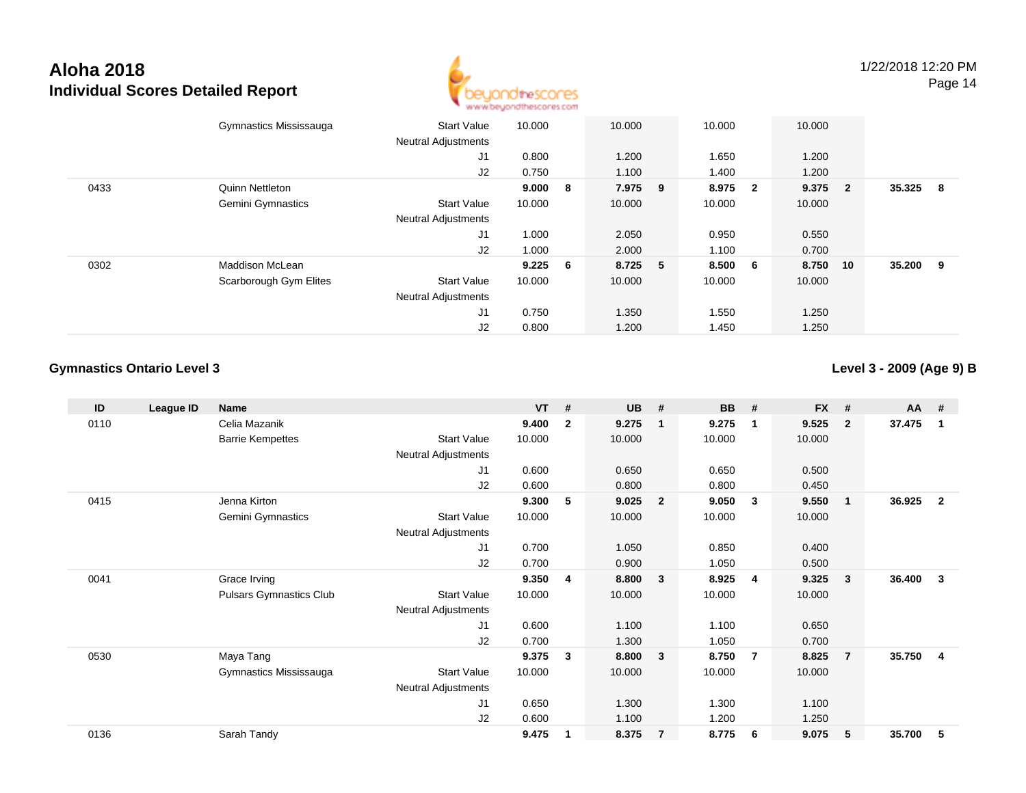

|      | Gymnastics Mississauga | <b>Start Value</b><br><b>Neutral Adjustments</b> | 10.000    |     | 10.000  | 10.000 |                         | 10.000  |    |        |     |
|------|------------------------|--------------------------------------------------|-----------|-----|---------|--------|-------------------------|---------|----|--------|-----|
|      |                        | J1                                               | 0.800     |     | 1.200   | 1.650  |                         | 1.200   |    |        |     |
|      |                        | J2                                               | 0.750     |     | 1.100   | 1.400  |                         | 1.200   |    |        |     |
| 0433 | Quinn Nettleton        |                                                  | 9.000     | - 8 | 7.975 9 | 8.975  | $\overline{\mathbf{2}}$ | 9.375 2 |    | 35.325 | - 8 |
|      | Gemini Gymnastics      | <b>Start Value</b>                               | 10.000    |     | 10.000  | 10.000 |                         | 10.000  |    |        |     |
|      |                        | <b>Neutral Adjustments</b>                       |           |     |         |        |                         |         |    |        |     |
|      |                        | J1                                               | 1.000     |     | 2.050   | 0.950  |                         | 0.550   |    |        |     |
|      |                        | J2                                               | 1.000     |     | 2.000   | 1.100  |                         | 0.700   |    |        |     |
| 0302 | <b>Maddison McLean</b> |                                                  | $9.225$ 6 |     | 8.725 5 | 8.500  | 6                       | 8.750   | 10 | 35.200 | - 9 |
|      | Scarborough Gym Elites | <b>Start Value</b>                               | 10.000    |     | 10.000  | 10.000 |                         | 10.000  |    |        |     |
|      |                        | <b>Neutral Adjustments</b>                       |           |     |         |        |                         |         |    |        |     |
|      |                        | J1                                               | 0.750     |     | 1.350   | 1.550  |                         | 1.250   |    |        |     |
|      |                        | J2                                               | 0.800     |     | 1.200   | 1.450  |                         | 1.250   |    |        |     |

#### **Gymnastics Ontario Level 3**

**Level 3 - 2009 (Age 9) B**

| ID   | League ID | <b>Name</b>                    |                            | <b>VT</b> | #            | <b>UB</b> | #              | <b>BB</b> | #              | <b>FX</b> | #              | AA #   |                |
|------|-----------|--------------------------------|----------------------------|-----------|--------------|-----------|----------------|-----------|----------------|-----------|----------------|--------|----------------|
| 0110 |           | Celia Mazanik                  |                            | 9.400     | $\mathbf{2}$ | 9.275     | -1             | 9.275     | $\overline{1}$ | 9.525     | $\overline{2}$ | 37.475 | $\mathbf{1}$   |
|      |           | <b>Barrie Kempettes</b>        | <b>Start Value</b>         | 10.000    |              | 10.000    |                | 10.000    |                | 10.000    |                |        |                |
|      |           |                                | <b>Neutral Adjustments</b> |           |              |           |                |           |                |           |                |        |                |
|      |           |                                | J1                         | 0.600     |              | 0.650     |                | 0.650     |                | 0.500     |                |        |                |
|      |           |                                | J2                         | 0.600     |              | 0.800     |                | 0.800     |                | 0.450     |                |        |                |
| 0415 |           | Jenna Kirton                   |                            | 9.300     | 5            | 9.025     | $\overline{2}$ | 9.050     | $\mathbf{3}$   | 9.550     | $\overline{1}$ | 36.925 | $\overline{2}$ |
|      |           | Gemini Gymnastics              | <b>Start Value</b>         | 10.000    |              | 10.000    |                | 10.000    |                | 10.000    |                |        |                |
|      |           |                                | <b>Neutral Adjustments</b> |           |              |           |                |           |                |           |                |        |                |
|      |           |                                | J1                         | 0.700     |              | 1.050     |                | 0.850     |                | 0.400     |                |        |                |
|      |           |                                | J <sub>2</sub>             | 0.700     |              | 0.900     |                | 1.050     |                | 0.500     |                |        |                |
| 0041 |           | Grace Irving                   |                            | 9.350     | 4            | 8.800     | 3              | 8.925     | -4             | 9.325     | 3              | 36.400 | 3              |
|      |           | <b>Pulsars Gymnastics Club</b> | <b>Start Value</b>         | 10.000    |              | 10.000    |                | 10.000    |                | 10.000    |                |        |                |
|      |           |                                | Neutral Adjustments        |           |              |           |                |           |                |           |                |        |                |
|      |           |                                | J1                         | 0.600     |              | 1.100     |                | 1.100     |                | 0.650     |                |        |                |
|      |           |                                | J2                         | 0.700     |              | 1.300     |                | 1.050     |                | 0.700     |                |        |                |
| 0530 |           | Maya Tang                      |                            | 9.375     | 3            | 8.800     | $\mathbf{3}$   | 8.750     | $\overline{7}$ | 8.825     | $\overline{7}$ | 35.750 | $\overline{4}$ |
|      |           | Gymnastics Mississauga         | <b>Start Value</b>         | 10.000    |              | 10.000    |                | 10.000    |                | 10.000    |                |        |                |
|      |           |                                | Neutral Adjustments        |           |              |           |                |           |                |           |                |        |                |
|      |           |                                | J1                         | 0.650     |              | 1.300     |                | 1.300     |                | 1.100     |                |        |                |
|      |           |                                | J2                         | 0.600     |              | 1.100     |                | 1.200     |                | 1.250     |                |        |                |
| 0136 |           | Sarah Tandy                    |                            | 9.475     | 1            | 8.375     | $\overline{7}$ | 8.775     | - 6            | 9.075     | 5              | 35.700 | 5              |